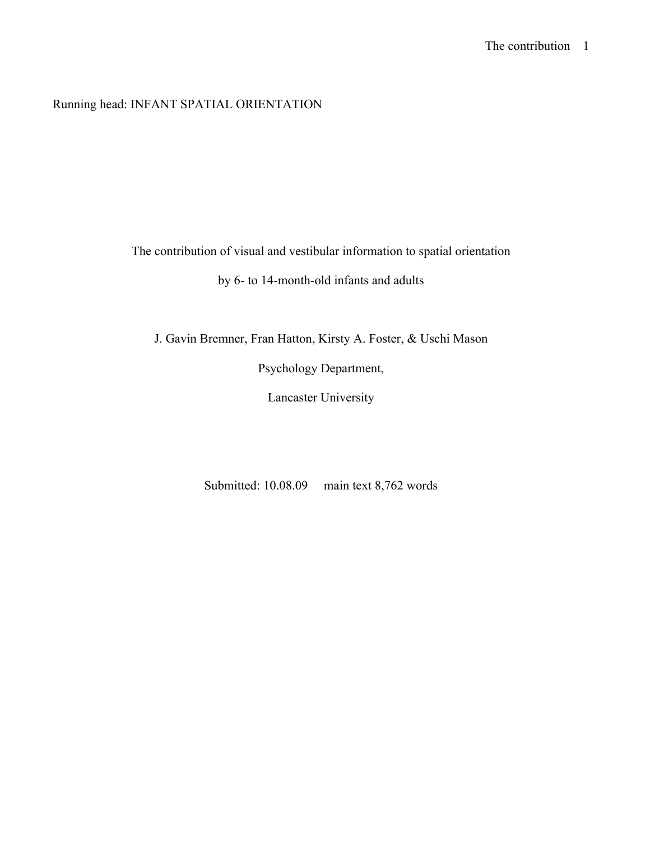Running head: INFANT SPATIAL ORIENTATION

The contribution of visual and vestibular information to spatial orientation

by 6- to 14-month-old infants and adults

J. Gavin Bremner, Fran Hatton, Kirsty A. Foster, & Uschi Mason

Psychology Department,

Lancaster University

Submitted: 10.08.09 main text 8,762 words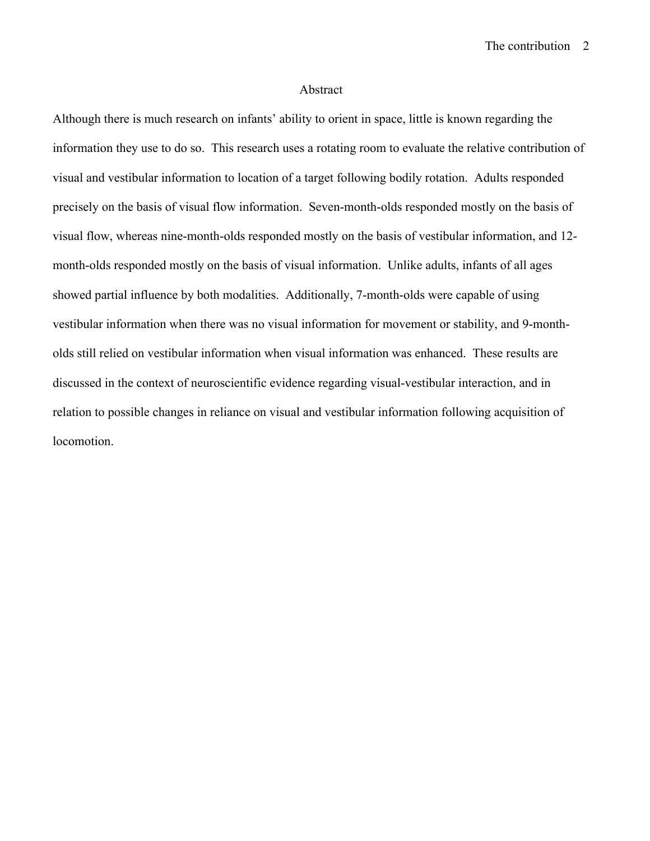The contribution2

#### Abstract

Although there is much research on infants' ability to orient in space, little is known regarding the information they use to do so. This research uses a rotating room to evaluate the relative contribution of visual and vestibular information to location of a target following bodily rotation. Adults responded precisely on the basis of visual flow information. Seven-month-olds responded mostly on the basis of visual flow, whereas nine-month-olds responded mostly on the basis of vestibular information, and 12 month-olds responded mostly on the basis of visual information. Unlike adults, infants of all ages showed partial influence by both modalities. Additionally, 7-month-olds were capable of using vestibular information when there was no visual information for movement or stability, and 9-montholds still relied on vestibular information when visual information was enhanced. These results are discussed in the context of neuroscientific evidence regarding visual-vestibular interaction, and in relation to possible changes in reliance on visual and vestibular information following acquisition of locomotion.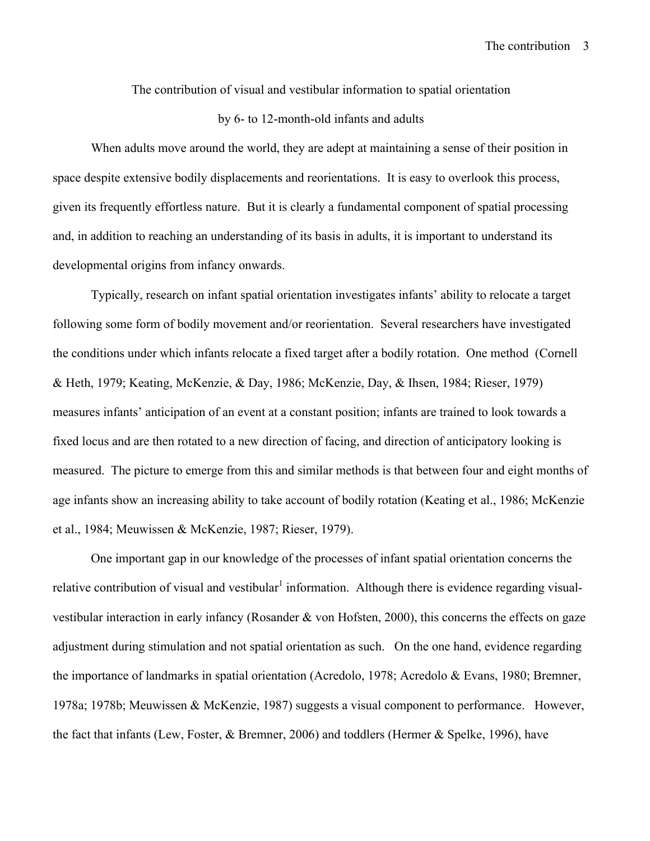The contribution of visual and vestibular information to spatial orientation

### by 6- to 12-month-old infants and adults

When adults move around the world, they are adept at maintaining a sense of their position in space despite extensive bodily displacements and reorientations. It is easy to overlook this process, given its frequently effortless nature. But it is clearly a fundamental component of spatial processing and, in addition to reaching an understanding of its basis in adults, it is important to understand its developmental origins from infancy onwards.

Typically, research on infant spatial orientation investigates infants' ability to relocate a target following some form of bodily movement and/or reorientation. Several researchers have investigated the conditions under which infants relocate a fixed target after a bodily rotation. One method (Cornell & Heth, 1979; Keating, McKenzie, & Day, 1986; McKenzie, Day, & Ihsen, 1984; Rieser, 1979) measures infants' anticipation of an event at a constant position; infants are trained to look towards a fixed locus and are then rotated to a new direction of facing, and direction of anticipatory looking is measured. The picture to emerge from this and similar methods is that between four and eight months of age infants show an increasing ability to take account of bodily rotation (Keating et al., 1986; McKenzie et al., 1984; Meuwissen & McKenzie, 1987; Rieser, 1979).

One important gap in our knowledge of the processes of infant spatial orientation concerns the relative contribution of visual and vestibular<sup>1</sup> information. Although there is evidence regarding visualvestibular interaction in early infancy (Rosander & von Hofsten, 2000), this concerns the effects on gaze adjustment during stimulation and not spatial orientation as such. On the one hand, evidence regarding the importance of landmarks in spatial orientation (Acredolo, 1978; Acredolo & Evans, 1980; Bremner, 1978a; 1978b; Meuwissen & McKenzie, 1987) suggests a visual component to performance. However, the fact that infants (Lew, Foster, & Bremner, 2006) and toddlers (Hermer & Spelke, 1996), have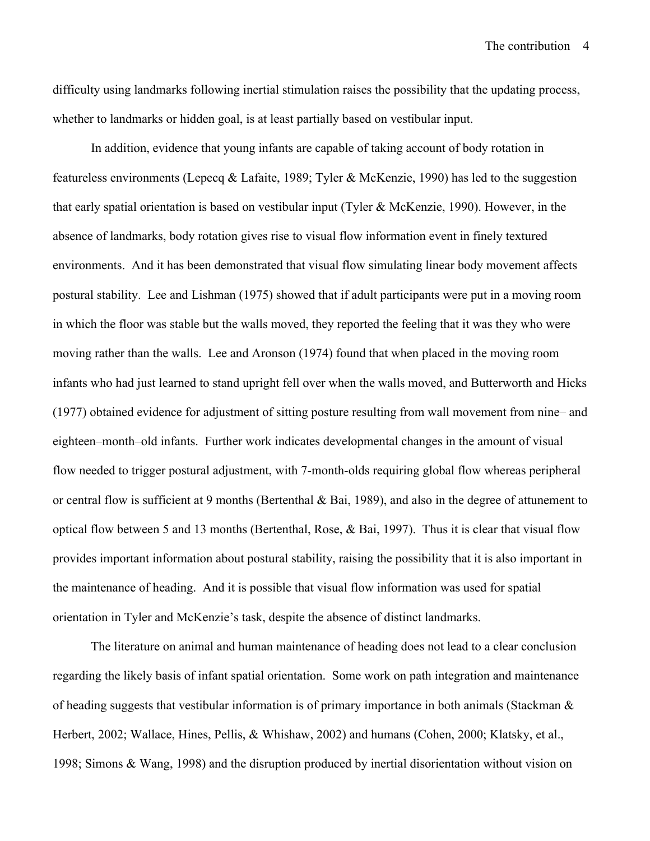difficulty using landmarks following inertial stimulation raises the possibility that the updating process, whether to landmarks or hidden goal, is at least partially based on vestibular input.

In addition, evidence that young infants are capable of taking account of body rotation in featureless environments (Lepecq & Lafaite, 1989; Tyler & McKenzie, 1990) has led to the suggestion that early spatial orientation is based on vestibular input (Tyler & McKenzie, 1990). However, in the absence of landmarks, body rotation gives rise to visual flow information event in finely textured environments. And it has been demonstrated that visual flow simulating linear body movement affects postural stability. Lee and Lishman (1975) showed that if adult participants were put in a moving room in which the floor was stable but the walls moved, they reported the feeling that it was they who were moving rather than the walls. Lee and Aronson (1974) found that when placed in the moving room infants who had just learned to stand upright fell over when the walls moved, and Butterworth and Hicks (1977) obtained evidence for adjustment of sitting posture resulting from wall movement from nine– and eighteen–month–old infants. Further work indicates developmental changes in the amount of visual flow needed to trigger postural adjustment, with 7-month-olds requiring global flow whereas peripheral or central flow is sufficient at 9 months (Bertenthal & Bai, 1989), and also in the degree of attunement to optical flow between 5 and 13 months (Bertenthal, Rose, & Bai, 1997). Thus it is clear that visual flow provides important information about postural stability, raising the possibility that it is also important in the maintenance of heading. And it is possible that visual flow information was used for spatial orientation in Tyler and McKenzie's task, despite the absence of distinct landmarks.

The literature on animal and human maintenance of heading does not lead to a clear conclusion regarding the likely basis of infant spatial orientation. Some work on path integration and maintenance of heading suggests that vestibular information is of primary importance in both animals (Stackman & Herbert, 2002; Wallace, Hines, Pellis, & Whishaw, 2002) and humans (Cohen, 2000; Klatsky, et al., 1998; Simons & Wang, 1998) and the disruption produced by inertial disorientation without vision on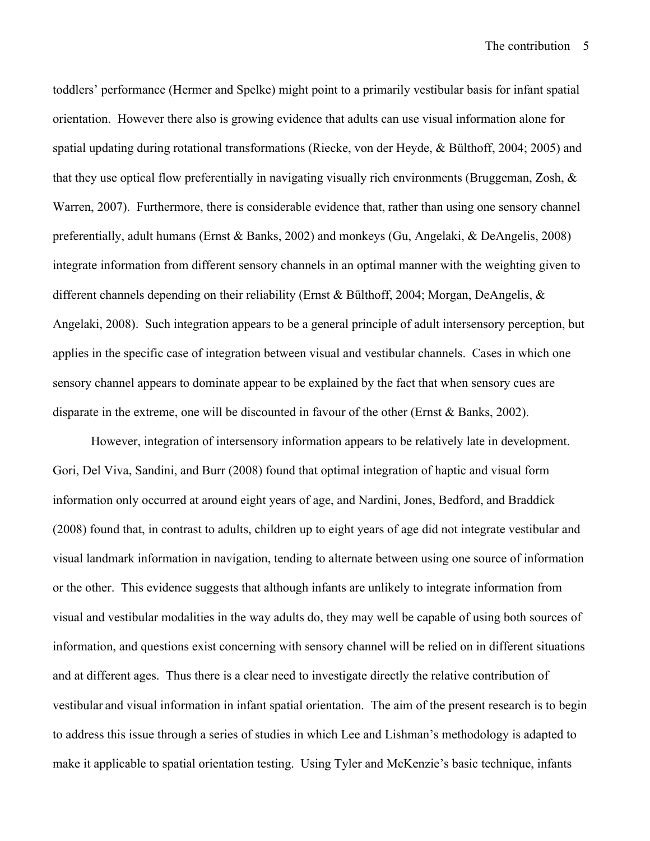toddlers' performance (Hermer and Spelke) might point to a primarily vestibular basis for infant spatial orientation. However there also is growing evidence that adults can use visual information alone for spatial updating during rotational transformations (Riecke, von der Heyde, & Bülthoff, 2004; 2005) and that they use optical flow preferentially in navigating visually rich environments (Bruggeman, Zosh, & Warren, 2007). Furthermore, there is considerable evidence that, rather than using one sensory channel preferentially, adult humans (Ernst & Banks, 2002) and monkeys (Gu, Angelaki, & DeAngelis, 2008) integrate information from different sensory channels in an optimal manner with the weighting given to different channels depending on their reliability (Ernst & Bűlthoff, 2004; Morgan, DeAngelis, & Angelaki, 2008). Such integration appears to be a general principle of adult intersensory perception, but applies in the specific case of integration between visual and vestibular channels. Cases in which one sensory channel appears to dominate appear to be explained by the fact that when sensory cues are disparate in the extreme, one will be discounted in favour of the other (Ernst & Banks, 2002).

However, integration of intersensory information appears to be relatively late in development. Gori, Del Viva, Sandini, and Burr (2008) found that optimal integration of haptic and visual form information only occurred at around eight years of age, and Nardini, Jones, Bedford, and Braddick (2008) found that, in contrast to adults, children up to eight years of age did not integrate vestibular and visual landmark information in navigation, tending to alternate between using one source of information or the other. This evidence suggests that although infants are unlikely to integrate information from visual and vestibular modalities in the way adults do, they may well be capable of using both sources of information, and questions exist concerning with sensory channel will be relied on in different situations and at different ages. Thus there is a clear need to investigate directly the relative contribution of vestibular and visual information in infant spatial orientation. The aim of the present research is to begin to address this issue through a series of studies in which Lee and Lishman's methodology is adapted to make it applicable to spatial orientation testing. Using Tyler and McKenzie's basic technique, infants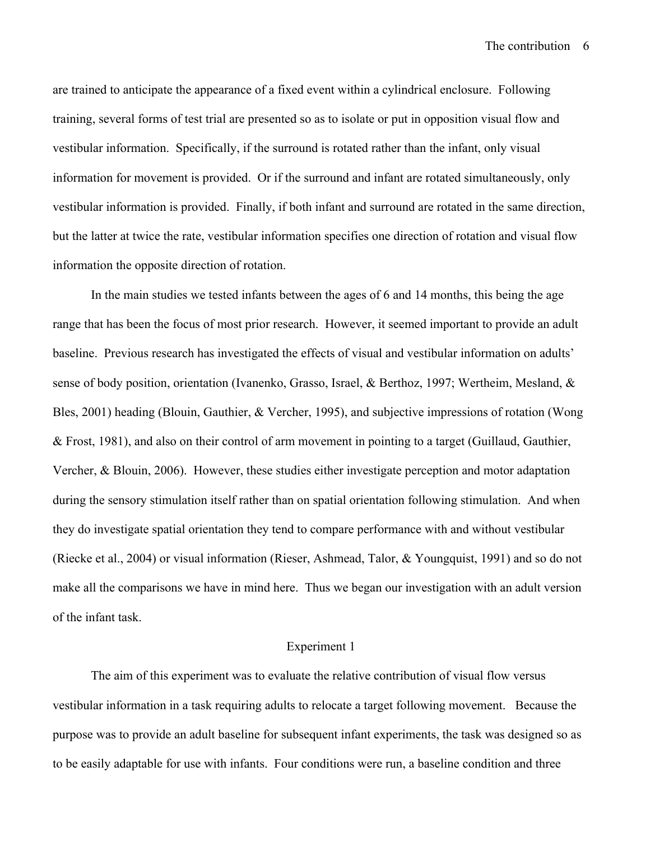are trained to anticipate the appearance of a fixed event within a cylindrical enclosure. Following training, several forms of test trial are presented so as to isolate or put in opposition visual flow and vestibular information. Specifically, if the surround is rotated rather than the infant, only visual information for movement is provided. Or if the surround and infant are rotated simultaneously, only vestibular information is provided. Finally, if both infant and surround are rotated in the same direction, but the latter at twice the rate, vestibular information specifies one direction of rotation and visual flow information the opposite direction of rotation.

In the main studies we tested infants between the ages of 6 and 14 months, this being the age range that has been the focus of most prior research. However, it seemed important to provide an adult baseline. Previous research has investigated the effects of visual and vestibular information on adults' sense of body position, orientation (Ivanenko, Grasso, Israel, & Berthoz, 1997; Wertheim, Mesland, & Bles, 2001) heading (Blouin, Gauthier, & Vercher, 1995), and subjective impressions of rotation (Wong & Frost, 1981), and also on their control of arm movement in pointing to a target (Guillaud, Gauthier, Vercher, & Blouin, 2006). However, these studies either investigate perception and motor adaptation during the sensory stimulation itself rather than on spatial orientation following stimulation. And when they do investigate spatial orientation they tend to compare performance with and without vestibular (Riecke et al., 2004) or visual information (Rieser, Ashmead, Talor, & Youngquist, 1991) and so do not make all the comparisons we have in mind here. Thus we began our investigation with an adult version of the infant task.

#### Experiment 1

The aim of this experiment was to evaluate the relative contribution of visual flow versus vestibular information in a task requiring adults to relocate a target following movement. Because the purpose was to provide an adult baseline for subsequent infant experiments, the task was designed so as to be easily adaptable for use with infants. Four conditions were run, a baseline condition and three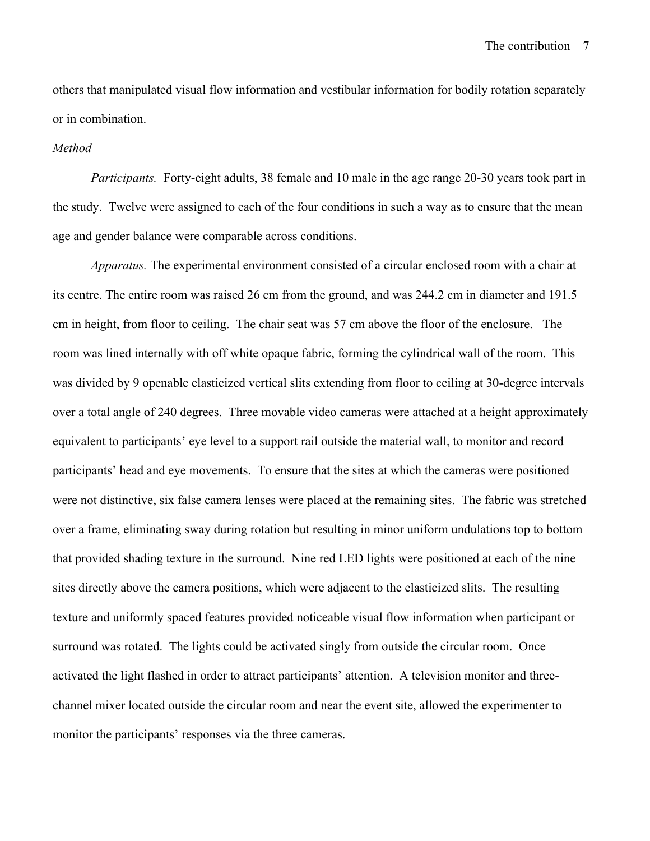others that manipulated visual flow information and vestibular information for bodily rotation separately or in combination.

#### *Method*

*Participants.* Forty-eight adults, 38 female and 10 male in the age range 20-30 years took part in the study. Twelve were assigned to each of the four conditions in such a way as to ensure that the mean age and gender balance were comparable across conditions.

*Apparatus.* The experimental environment consisted of a circular enclosed room with a chair at its centre. The entire room was raised 26 cm from the ground, and was 244.2 cm in diameter and 191.5 cm in height, from floor to ceiling. The chair seat was 57 cm above the floor of the enclosure. The room was lined internally with off white opaque fabric, forming the cylindrical wall of the room. This was divided by 9 openable elasticized vertical slits extending from floor to ceiling at 30-degree intervals over a total angle of 240 degrees. Three movable video cameras were attached at a height approximately equivalent to participants' eye level to a support rail outside the material wall, to monitor and record participants' head and eye movements. To ensure that the sites at which the cameras were positioned were not distinctive, six false camera lenses were placed at the remaining sites. The fabric was stretched over a frame, eliminating sway during rotation but resulting in minor uniform undulations top to bottom that provided shading texture in the surround. Nine red LED lights were positioned at each of the nine sites directly above the camera positions, which were adjacent to the elasticized slits. The resulting texture and uniformly spaced features provided noticeable visual flow information when participant or surround was rotated. The lights could be activated singly from outside the circular room. Once activated the light flashed in order to attract participants' attention. A television monitor and threechannel mixer located outside the circular room and near the event site, allowed the experimenter to monitor the participants' responses via the three cameras.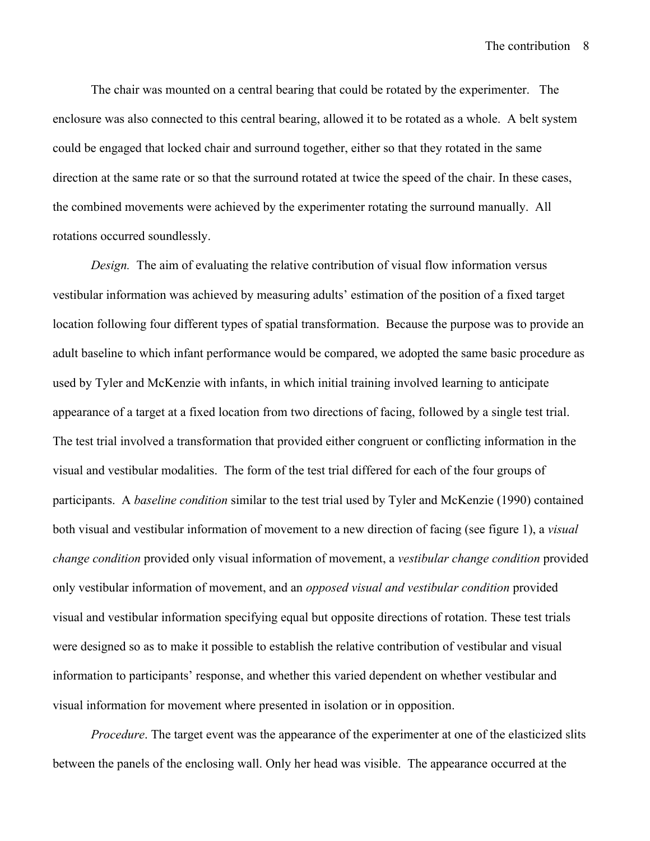The chair was mounted on a central bearing that could be rotated by the experimenter. The enclosure was also connected to this central bearing, allowed it to be rotated as a whole. A belt system could be engaged that locked chair and surround together, either so that they rotated in the same direction at the same rate or so that the surround rotated at twice the speed of the chair. In these cases, the combined movements were achieved by the experimenter rotating the surround manually. All rotations occurred soundlessly.

*Design.* The aim of evaluating the relative contribution of visual flow information versus vestibular information was achieved by measuring adults' estimation of the position of a fixed target location following four different types of spatial transformation. Because the purpose was to provide an adult baseline to which infant performance would be compared, we adopted the same basic procedure as used by Tyler and McKenzie with infants, in which initial training involved learning to anticipate appearance of a target at a fixed location from two directions of facing, followed by a single test trial. The test trial involved a transformation that provided either congruent or conflicting information in the visual and vestibular modalities. The form of the test trial differed for each of the four groups of participants. A *baseline condition* similar to the test trial used by Tyler and McKenzie (1990) contained both visual and vestibular information of movement to a new direction of facing (see figure 1), a *visual change condition* provided only visual information of movement, a *vestibular change condition* provided only vestibular information of movement, and an *opposed visual and vestibular condition* provided visual and vestibular information specifying equal but opposite directions of rotation. These test trials were designed so as to make it possible to establish the relative contribution of vestibular and visual information to participants' response, and whether this varied dependent on whether vestibular and visual information for movement where presented in isolation or in opposition.

*Procedure*. The target event was the appearance of the experimenter at one of the elasticized slits between the panels of the enclosing wall. Only her head was visible. The appearance occurred at the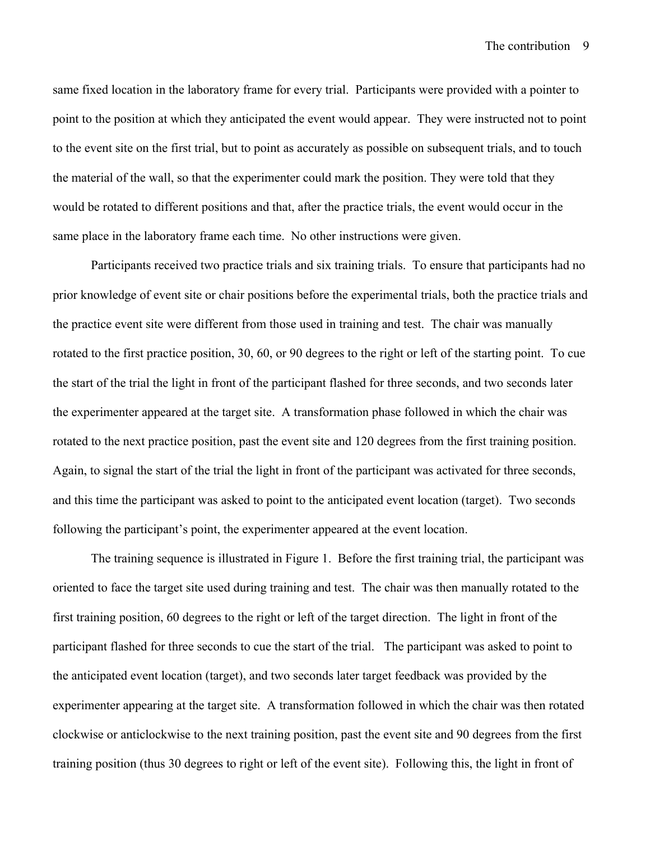same fixed location in the laboratory frame for every trial. Participants were provided with a pointer to point to the position at which they anticipated the event would appear. They were instructed not to point to the event site on the first trial, but to point as accurately as possible on subsequent trials, and to touch the material of the wall, so that the experimenter could mark the position. They were told that they would be rotated to different positions and that, after the practice trials, the event would occur in the same place in the laboratory frame each time. No other instructions were given.

Participants received two practice trials and six training trials. To ensure that participants had no prior knowledge of event site or chair positions before the experimental trials, both the practice trials and the practice event site were different from those used in training and test. The chair was manually rotated to the first practice position, 30, 60, or 90 degrees to the right or left of the starting point. To cue the start of the trial the light in front of the participant flashed for three seconds, and two seconds later the experimenter appeared at the target site. A transformation phase followed in which the chair was rotated to the next practice position, past the event site and 120 degrees from the first training position. Again, to signal the start of the trial the light in front of the participant was activated for three seconds, and this time the participant was asked to point to the anticipated event location (target). Two seconds following the participant's point, the experimenter appeared at the event location.

The training sequence is illustrated in Figure 1. Before the first training trial, the participant was oriented to face the target site used during training and test. The chair was then manually rotated to the first training position, 60 degrees to the right or left of the target direction. The light in front of the participant flashed for three seconds to cue the start of the trial. The participant was asked to point to the anticipated event location (target), and two seconds later target feedback was provided by the experimenter appearing at the target site. A transformation followed in which the chair was then rotated clockwise or anticlockwise to the next training position, past the event site and 90 degrees from the first training position (thus 30 degrees to right or left of the event site). Following this, the light in front of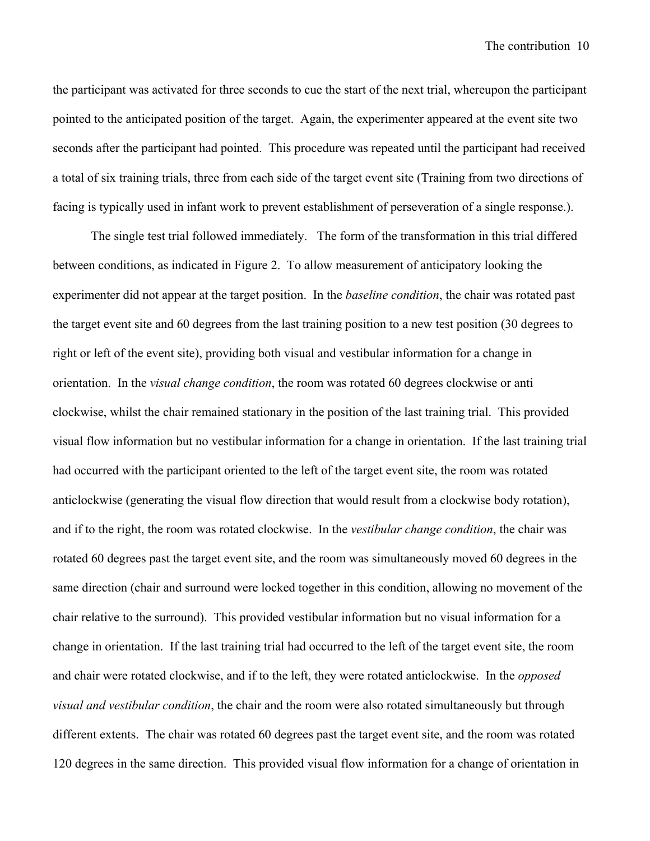the participant was activated for three seconds to cue the start of the next trial, whereupon the participant pointed to the anticipated position of the target. Again, the experimenter appeared at the event site two seconds after the participant had pointed. This procedure was repeated until the participant had received a total of six training trials, three from each side of the target event site (Training from two directions of facing is typically used in infant work to prevent establishment of perseveration of a single response.).

The single test trial followed immediately. The form of the transformation in this trial differed between conditions, as indicated in Figure 2. To allow measurement of anticipatory looking the experimenter did not appear at the target position. In the *baseline condition*, the chair was rotated past the target event site and 60 degrees from the last training position to a new test position (30 degrees to right or left of the event site), providing both visual and vestibular information for a change in orientation. In the *visual change condition*, the room was rotated 60 degrees clockwise or anti clockwise, whilst the chair remained stationary in the position of the last training trial. This provided visual flow information but no vestibular information for a change in orientation. If the last training trial had occurred with the participant oriented to the left of the target event site, the room was rotated anticlockwise (generating the visual flow direction that would result from a clockwise body rotation), and if to the right, the room was rotated clockwise. In the *vestibular change condition*, the chair was rotated 60 degrees past the target event site, and the room was simultaneously moved 60 degrees in the same direction (chair and surround were locked together in this condition, allowing no movement of the chair relative to the surround). This provided vestibular information but no visual information for a change in orientation. If the last training trial had occurred to the left of the target event site, the room and chair were rotated clockwise, and if to the left, they were rotated anticlockwise. In the *opposed visual and vestibular condition*, the chair and the room were also rotated simultaneously but through different extents. The chair was rotated 60 degrees past the target event site, and the room was rotated 120 degrees in the same direction. This provided visual flow information for a change of orientation in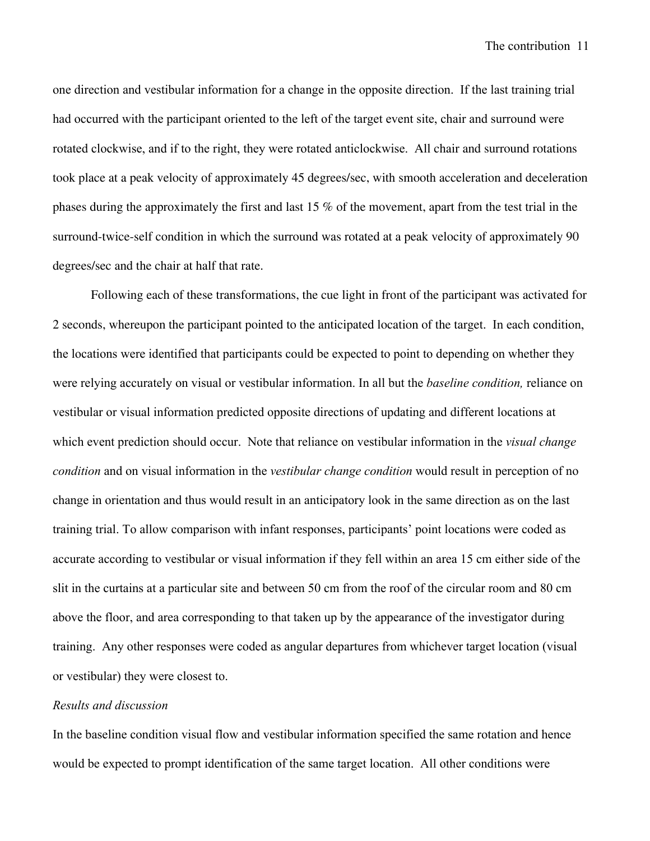one direction and vestibular information for a change in the opposite direction. If the last training trial had occurred with the participant oriented to the left of the target event site, chair and surround were rotated clockwise, and if to the right, they were rotated anticlockwise. All chair and surround rotations took place at a peak velocity of approximately 45 degrees/sec, with smooth acceleration and deceleration phases during the approximately the first and last 15 % of the movement, apart from the test trial in the surround-twice-self condition in which the surround was rotated at a peak velocity of approximately 90 degrees/sec and the chair at half that rate.

Following each of these transformations, the cue light in front of the participant was activated for 2 seconds, whereupon the participant pointed to the anticipated location of the target. In each condition, the locations were identified that participants could be expected to point to depending on whether they were relying accurately on visual or vestibular information. In all but the *baseline condition,* reliance on vestibular or visual information predicted opposite directions of updating and different locations at which event prediction should occur. Note that reliance on vestibular information in the *visual change condition* and on visual information in the *vestibular change condition* would result in perception of no change in orientation and thus would result in an anticipatory look in the same direction as on the last training trial. To allow comparison with infant responses, participants' point locations were coded as accurate according to vestibular or visual information if they fell within an area 15 cm either side of the slit in the curtains at a particular site and between 50 cm from the roof of the circular room and 80 cm above the floor, and area corresponding to that taken up by the appearance of the investigator during training. Any other responses were coded as angular departures from whichever target location (visual or vestibular) they were closest to.

## *Results and discussion*

In the baseline condition visual flow and vestibular information specified the same rotation and hence would be expected to prompt identification of the same target location. All other conditions were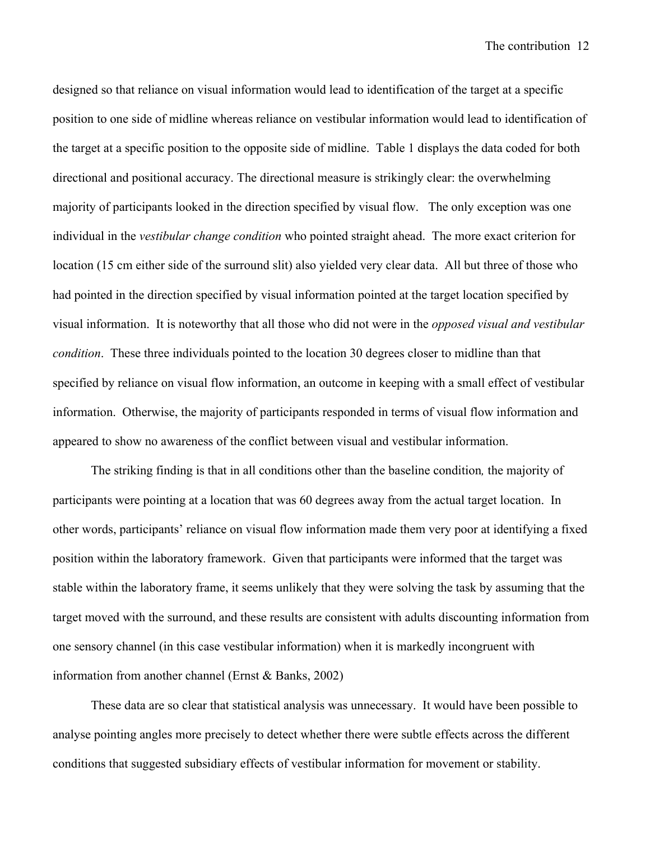designed so that reliance on visual information would lead to identification of the target at a specific position to one side of midline whereas reliance on vestibular information would lead to identification of the target at a specific position to the opposite side of midline. Table 1 displays the data coded for both directional and positional accuracy. The directional measure is strikingly clear: the overwhelming majority of participants looked in the direction specified by visual flow. The only exception was one individual in the *vestibular change condition* who pointed straight ahead. The more exact criterion for location (15 cm either side of the surround slit) also yielded very clear data. All but three of those who had pointed in the direction specified by visual information pointed at the target location specified by visual information. It is noteworthy that all those who did not were in the *opposed visual and vestibular condition*. These three individuals pointed to the location 30 degrees closer to midline than that specified by reliance on visual flow information, an outcome in keeping with a small effect of vestibular information. Otherwise, the majority of participants responded in terms of visual flow information and appeared to show no awareness of the conflict between visual and vestibular information.

The striking finding is that in all conditions other than the baseline condition*,* the majority of participants were pointing at a location that was 60 degrees away from the actual target location. In other words, participants' reliance on visual flow information made them very poor at identifying a fixed position within the laboratory framework. Given that participants were informed that the target was stable within the laboratory frame, it seems unlikely that they were solving the task by assuming that the target moved with the surround, and these results are consistent with adults discounting information from one sensory channel (in this case vestibular information) when it is markedly incongruent with information from another channel (Ernst & Banks, 2002)

These data are so clear that statistical analysis was unnecessary. It would have been possible to analyse pointing angles more precisely to detect whether there were subtle effects across the different conditions that suggested subsidiary effects of vestibular information for movement or stability.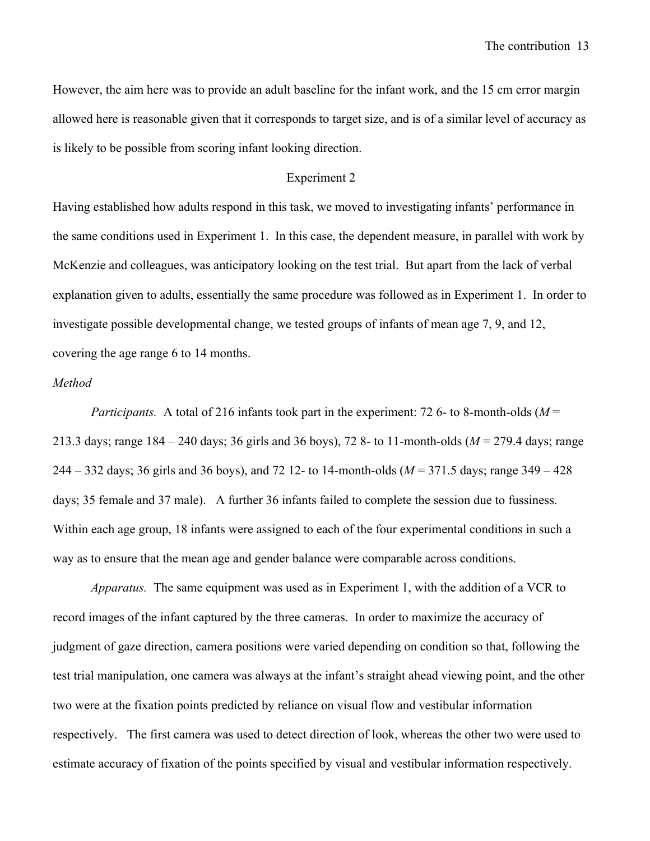However, the aim here was to provide an adult baseline for the infant work, and the 15 cm error margin allowed here is reasonable given that it corresponds to target size, and is of a similar level of accuracy as is likely to be possible from scoring infant looking direction.

#### Experiment 2

Having established how adults respond in this task, we moved to investigating infants' performance in the same conditions used in Experiment 1. In this case, the dependent measure, in parallel with work by McKenzie and colleagues, was anticipatory looking on the test trial. But apart from the lack of verbal explanation given to adults, essentially the same procedure was followed as in Experiment 1. In order to investigate possible developmental change, we tested groups of infants of mean age 7, 9, and 12, covering the age range 6 to 14 months.

### *Method*

*Participants.* A total of 216 infants took part in the experiment: 72 6- to 8-month-olds ( $M =$ 213.3 days; range 184 – 240 days; 36 girls and 36 boys), 72 8- to 11-month-olds (*M* = 279.4 days; range 244 – 332 days; 36 girls and 36 boys), and 72 12- to 14-month-olds (*M* = 371.5 days; range 349 – 428 days; 35 female and 37 male). A further 36 infants failed to complete the session due to fussiness. Within each age group, 18 infants were assigned to each of the four experimental conditions in such a way as to ensure that the mean age and gender balance were comparable across conditions.

*Apparatus.* The same equipment was used as in Experiment 1, with the addition of a VCR to record images of the infant captured by the three cameras. In order to maximize the accuracy of judgment of gaze direction, camera positions were varied depending on condition so that, following the test trial manipulation, one camera was always at the infant's straight ahead viewing point, and the other two were at the fixation points predicted by reliance on visual flow and vestibular information respectively. The first camera was used to detect direction of look, whereas the other two were used to estimate accuracy of fixation of the points specified by visual and vestibular information respectively.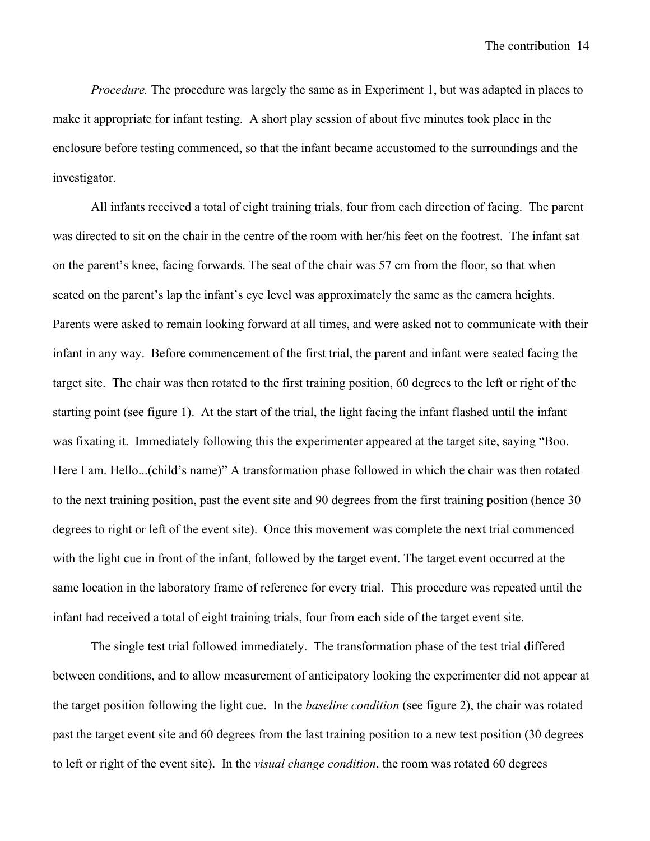*Procedure.* The procedure was largely the same as in Experiment 1, but was adapted in places to make it appropriate for infant testing. A short play session of about five minutes took place in the enclosure before testing commenced, so that the infant became accustomed to the surroundings and the investigator.

All infants received a total of eight training trials, four from each direction of facing. The parent was directed to sit on the chair in the centre of the room with her/his feet on the footrest. The infant sat on the parent's knee, facing forwards. The seat of the chair was 57 cm from the floor, so that when seated on the parent's lap the infant's eye level was approximately the same as the camera heights. Parents were asked to remain looking forward at all times, and were asked not to communicate with their infant in any way. Before commencement of the first trial, the parent and infant were seated facing the target site. The chair was then rotated to the first training position, 60 degrees to the left or right of the starting point (see figure 1). At the start of the trial, the light facing the infant flashed until the infant was fixating it. Immediately following this the experimenter appeared at the target site, saying "Boo. Here I am. Hello...(child's name)" A transformation phase followed in which the chair was then rotated to the next training position, past the event site and 90 degrees from the first training position (hence 30 degrees to right or left of the event site). Once this movement was complete the next trial commenced with the light cue in front of the infant, followed by the target event. The target event occurred at the same location in the laboratory frame of reference for every trial. This procedure was repeated until the infant had received a total of eight training trials, four from each side of the target event site.

The single test trial followed immediately. The transformation phase of the test trial differed between conditions, and to allow measurement of anticipatory looking the experimenter did not appear at the target position following the light cue. In the *baseline condition* (see figure 2), the chair was rotated past the target event site and 60 degrees from the last training position to a new test position (30 degrees to left or right of the event site). In the *visual change condition*, the room was rotated 60 degrees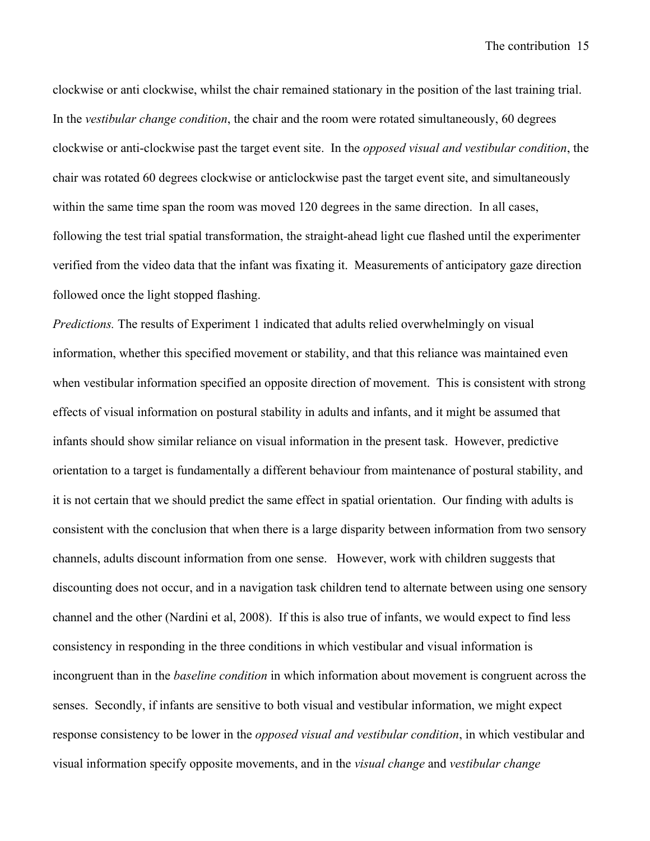clockwise or anti clockwise, whilst the chair remained stationary in the position of the last training trial. In the *vestibular change condition*, the chair and the room were rotated simultaneously, 60 degrees clockwise or anti-clockwise past the target event site. In the *opposed visual and vestibular condition*, the chair was rotated 60 degrees clockwise or anticlockwise past the target event site, and simultaneously within the same time span the room was moved 120 degrees in the same direction. In all cases, following the test trial spatial transformation, the straight-ahead light cue flashed until the experimenter verified from the video data that the infant was fixating it. Measurements of anticipatory gaze direction followed once the light stopped flashing.

*Predictions.* The results of Experiment 1 indicated that adults relied overwhelmingly on visual information, whether this specified movement or stability, and that this reliance was maintained even when vestibular information specified an opposite direction of movement. This is consistent with strong effects of visual information on postural stability in adults and infants, and it might be assumed that infants should show similar reliance on visual information in the present task. However, predictive orientation to a target is fundamentally a different behaviour from maintenance of postural stability, and it is not certain that we should predict the same effect in spatial orientation. Our finding with adults is consistent with the conclusion that when there is a large disparity between information from two sensory channels, adults discount information from one sense. However, work with children suggests that discounting does not occur, and in a navigation task children tend to alternate between using one sensory channel and the other (Nardini et al, 2008). If this is also true of infants, we would expect to find less consistency in responding in the three conditions in which vestibular and visual information is incongruent than in the *baseline condition* in which information about movement is congruent across the senses. Secondly, if infants are sensitive to both visual and vestibular information, we might expect response consistency to be lower in the *opposed visual and vestibular condition*, in which vestibular and visual information specify opposite movements, and in the *visual change* and *vestibular change*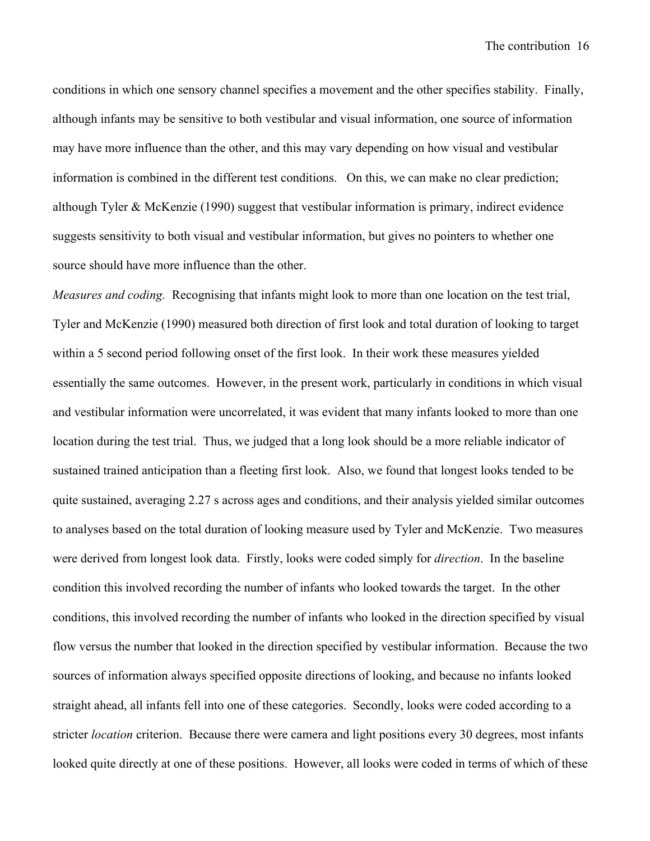conditions in which one sensory channel specifies a movement and the other specifies stability. Finally, although infants may be sensitive to both vestibular and visual information, one source of information may have more influence than the other, and this may vary depending on how visual and vestibular information is combined in the different test conditions. On this, we can make no clear prediction; although Tyler & McKenzie (1990) suggest that vestibular information is primary, indirect evidence suggests sensitivity to both visual and vestibular information, but gives no pointers to whether one source should have more influence than the other.

*Measures and coding.* Recognising that infants might look to more than one location on the test trial, Tyler and McKenzie (1990) measured both direction of first look and total duration of looking to target within a 5 second period following onset of the first look. In their work these measures yielded essentially the same outcomes. However, in the present work, particularly in conditions in which visual and vestibular information were uncorrelated, it was evident that many infants looked to more than one location during the test trial. Thus, we judged that a long look should be a more reliable indicator of sustained trained anticipation than a fleeting first look. Also, we found that longest looks tended to be quite sustained, averaging 2.27 s across ages and conditions, and their analysis yielded similar outcomes to analyses based on the total duration of looking measure used by Tyler and McKenzie. Two measures were derived from longest look data. Firstly, looks were coded simply for *direction*. In the baseline condition this involved recording the number of infants who looked towards the target. In the other conditions, this involved recording the number of infants who looked in the direction specified by visual flow versus the number that looked in the direction specified by vestibular information. Because the two sources of information always specified opposite directions of looking, and because no infants looked straight ahead, all infants fell into one of these categories. Secondly, looks were coded according to a stricter *location* criterion. Because there were camera and light positions every 30 degrees, most infants looked quite directly at one of these positions. However, all looks were coded in terms of which of these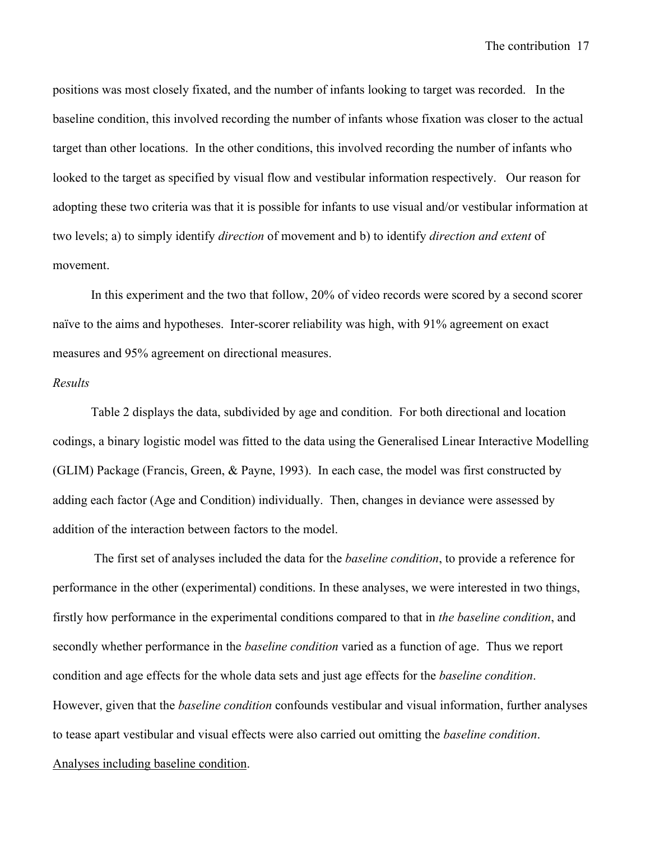positions was most closely fixated, and the number of infants looking to target was recorded. In the baseline condition, this involved recording the number of infants whose fixation was closer to the actual target than other locations. In the other conditions, this involved recording the number of infants who looked to the target as specified by visual flow and vestibular information respectively. Our reason for adopting these two criteria was that it is possible for infants to use visual and/or vestibular information at two levels; a) to simply identify *direction* of movement and b) to identify *direction and extent* of movement.

In this experiment and the two that follow, 20% of video records were scored by a second scorer naïve to the aims and hypotheses. Inter-scorer reliability was high, with 91% agreement on exact measures and 95% agreement on directional measures.

## *Results*

Table 2 displays the data, subdivided by age and condition. For both directional and location codings, a binary logistic model was fitted to the data using the Generalised Linear Interactive Modelling (GLIM) Package (Francis, Green, & Payne, 1993). In each case, the model was first constructed by adding each factor (Age and Condition) individually. Then, changes in deviance were assessed by addition of the interaction between factors to the model.

The first set of analyses included the data for the *baseline condition*, to provide a reference for performance in the other (experimental) conditions. In these analyses, we were interested in two things, firstly how performance in the experimental conditions compared to that in *the baseline condition*, and secondly whether performance in the *baseline condition* varied as a function of age. Thus we report condition and age effects for the whole data sets and just age effects for the *baseline condition*. However, given that the *baseline condition* confounds vestibular and visual information, further analyses to tease apart vestibular and visual effects were also carried out omitting the *baseline condition*. Analyses including baseline condition.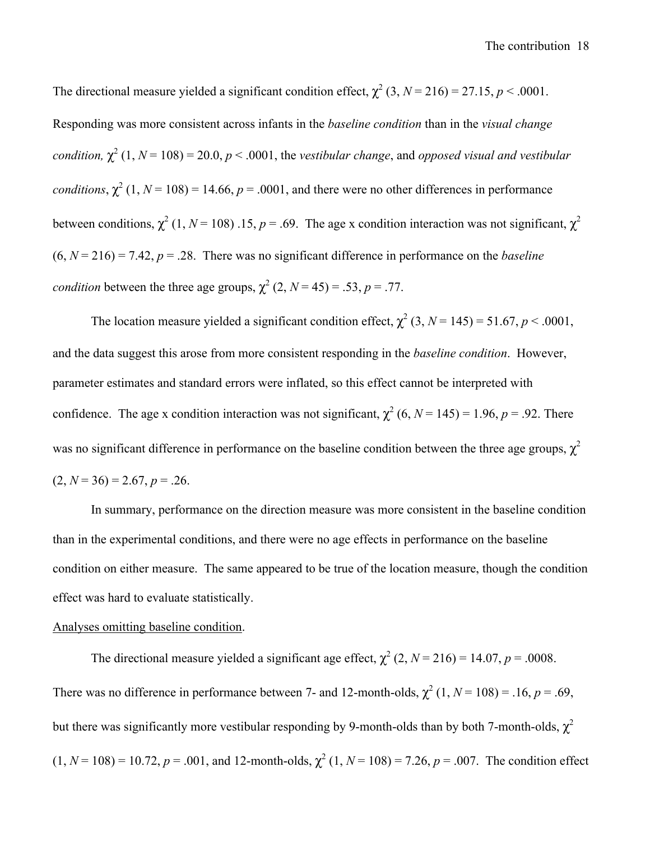The directional measure yielded a significant condition effect,  $\chi^2$  (3, *N* = 216) = 27.15, *p* < .0001. Responding was more consistent across infants in the *baseline condition* than in the *visual change condition,*  $\chi^2$  (1,  $N = 108$ ) = 20.0,  $p < .0001$ , the *vestibular change*, and *opposed visual and vestibular conditions*,  $\chi^2$  (1, *N* = 108) = 14.66, *p* = .0001, and there were no other differences in performance between conditions,  $\chi^2$  (1, *N* = 108) .15, *p* = .69. The age x condition interaction was not significant,  $\chi^2$  $(6, N = 216) = 7.42, p = .28$ . There was no significant difference in performance on the *baseline condition* between the three age groups,  $\chi^2$  (2, *N* = 45) = .53, *p* = .77.

The location measure yielded a significant condition effect,  $\chi^2$  (3, *N* = 145) = 51.67, *p* < .0001, and the data suggest this arose from more consistent responding in the *baseline condition*. However, parameter estimates and standard errors were inflated, so this effect cannot be interpreted with confidence. The age x condition interaction was not significant,  $\chi^2$  (6, *N* = 145) = 1.96, *p* = .92. There was no significant difference in performance on the baseline condition between the three age groups,  $\chi^2$  $(2, N = 36) = 2.67, p = .26.$ 

In summary, performance on the direction measure was more consistent in the baseline condition than in the experimental conditions, and there were no age effects in performance on the baseline condition on either measure. The same appeared to be true of the location measure, though the condition effect was hard to evaluate statistically.

## Analyses omitting baseline condition.

The directional measure yielded a significant age effect,  $\chi^2$  (2, *N* = 216) = 14.07, *p* = .0008. There was no difference in performance between 7- and 12-month-olds,  $\chi^2$  (1,  $N = 108$ ) = .16,  $p = .69$ , but there was significantly more vestibular responding by 9-month-olds than by both 7-month-olds,  $\chi^2$  $(1, N = 108) = 10.72, p = .001$ , and 12-month-olds,  $\chi^2$  (1, *N* = 108) = 7.26, *p* = .007. The condition effect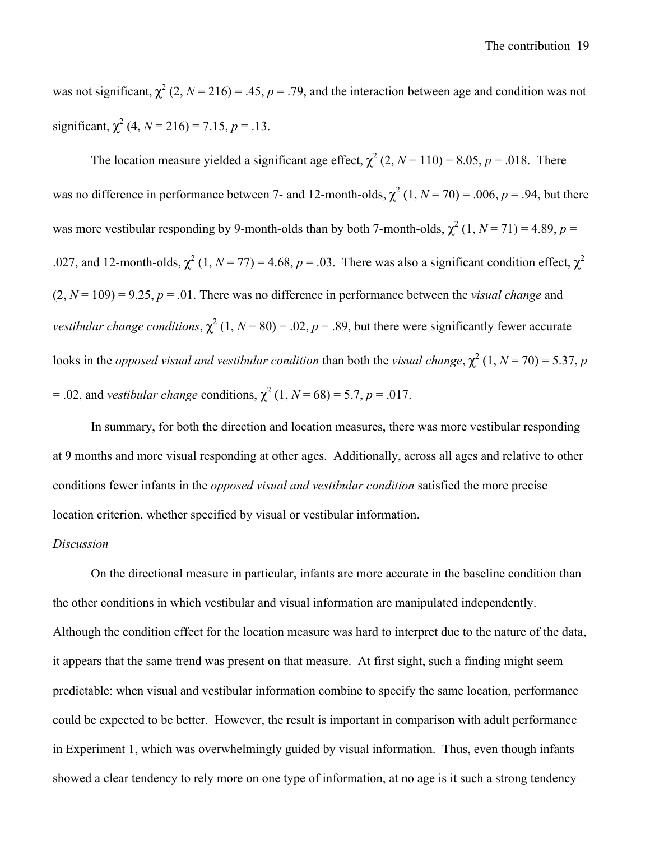was not significant,  $\chi^2$  (2, *N* = 216) = .45, *p* = .79, and the interaction between age and condition was not significant,  $\chi^2$  (4,  $N = 216$ ) = 7.15,  $p = .13$ .

The location measure yielded a significant age effect,  $\chi^2$  (2, *N* = 110) = 8.05, *p* = .018. There was no difference in performance between 7- and 12-month-olds,  $\chi^2$  (1,  $N = 70$ ) = .006,  $p = .94$ , but there was more vestibular responding by 9-month-olds than by both 7-month-olds,  $\chi^2$  (1, *N* = 71) = 4.89, *p* = .027, and 12-month-olds,  $\chi^2$  (1,  $N = 77$ ) = 4.68,  $p = .03$ . There was also a significant condition effect,  $\chi^2$  $(2, N = 109) = 9.25, p = .01$ . There was no difference in performance between the *visual change* and *vestibular change conditions*,  $\chi^2$  (1, *N* = 80) = .02, *p* = .89, but there were significantly fewer accurate looks in the *opposed visual and vestibular condition* than both the *visual change*,  $\chi^2$  (1, *N* = 70) = 5.37, *p*  $= .02$ , and *vestibular change* conditions,  $\chi^2$  (1, *N* = 68) = 5.7, *p* = .017.

In summary, for both the direction and location measures, there was more vestibular responding at 9 months and more visual responding at other ages. Additionally, across all ages and relative to other conditions fewer infants in the *opposed visual and vestibular condition* satisfied the more precise location criterion, whether specified by visual or vestibular information.

#### *Discussion*

On the directional measure in particular, infants are more accurate in the baseline condition than the other conditions in which vestibular and visual information are manipulated independently. Although the condition effect for the location measure was hard to interpret due to the nature of the data, it appears that the same trend was present on that measure. At first sight, such a finding might seem predictable: when visual and vestibular information combine to specify the same location, performance could be expected to be better. However, the result is important in comparison with adult performance in Experiment 1, which was overwhelmingly guided by visual information. Thus, even though infants showed a clear tendency to rely more on one type of information, at no age is it such a strong tendency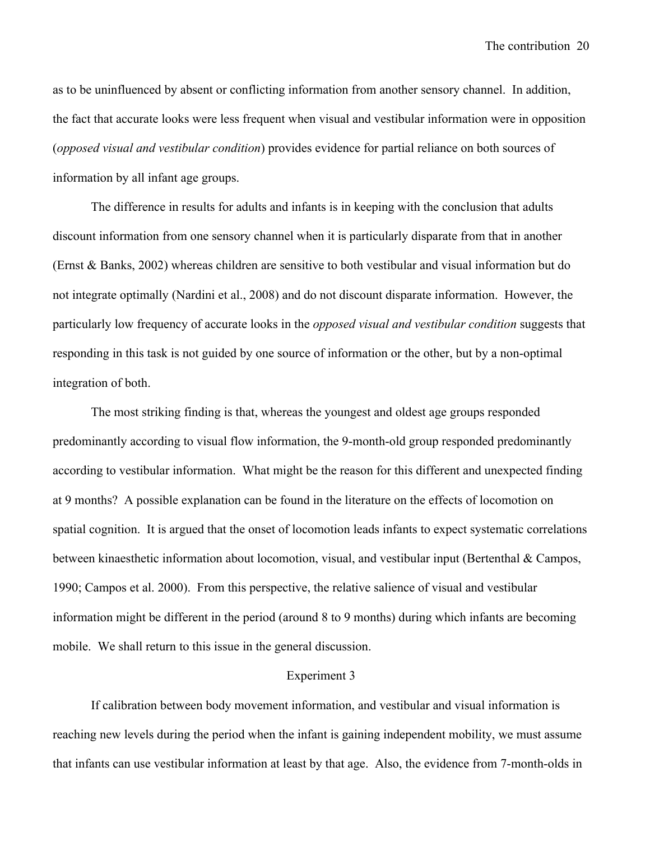as to be uninfluenced by absent or conflicting information from another sensory channel. In addition, the fact that accurate looks were less frequent when visual and vestibular information were in opposition (*opposed visual and vestibular condition*) provides evidence for partial reliance on both sources of information by all infant age groups.

The difference in results for adults and infants is in keeping with the conclusion that adults discount information from one sensory channel when it is particularly disparate from that in another (Ernst & Banks, 2002) whereas children are sensitive to both vestibular and visual information but do not integrate optimally (Nardini et al., 2008) and do not discount disparate information. However, the particularly low frequency of accurate looks in the *opposed visual and vestibular condition* suggests that responding in this task is not guided by one source of information or the other, but by a non-optimal integration of both.

The most striking finding is that, whereas the youngest and oldest age groups responded predominantly according to visual flow information, the 9-month-old group responded predominantly according to vestibular information. What might be the reason for this different and unexpected finding at 9 months? A possible explanation can be found in the literature on the effects of locomotion on spatial cognition. It is argued that the onset of locomotion leads infants to expect systematic correlations between kinaesthetic information about locomotion, visual, and vestibular input (Bertenthal & Campos, 1990; Campos et al. 2000). From this perspective, the relative salience of visual and vestibular information might be different in the period (around 8 to 9 months) during which infants are becoming mobile. We shall return to this issue in the general discussion.

#### Experiment 3

If calibration between body movement information, and vestibular and visual information is reaching new levels during the period when the infant is gaining independent mobility, we must assume that infants can use vestibular information at least by that age. Also, the evidence from 7-month-olds in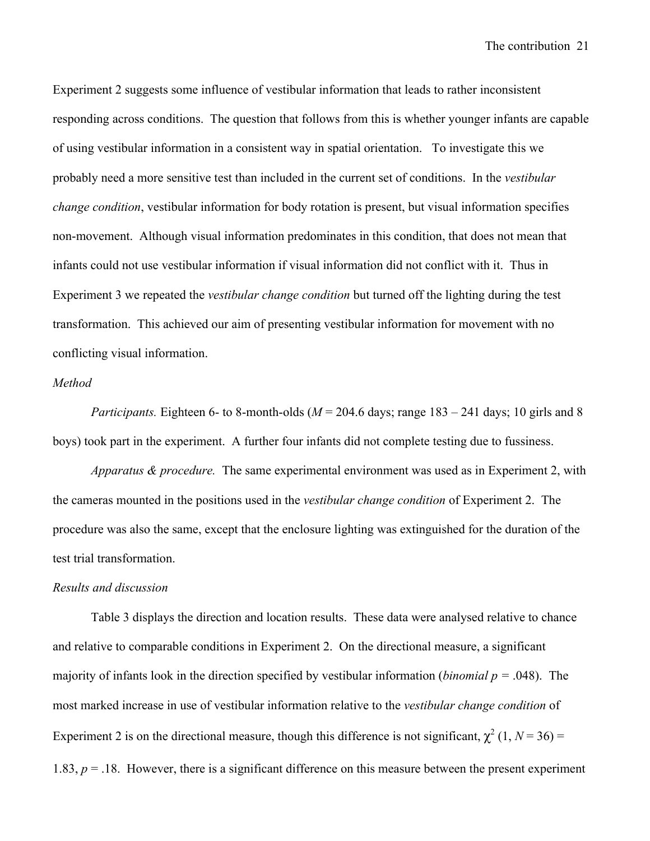The contribution21

Experiment 2 suggests some influence of vestibular information that leads to rather inconsistent responding across conditions. The question that follows from this is whether younger infants are capable of using vestibular information in a consistent way in spatial orientation. To investigate this we probably need a more sensitive test than included in the current set of conditions. In the *vestibular change condition*, vestibular information for body rotation is present, but visual information specifies non-movement. Although visual information predominates in this condition, that does not mean that infants could not use vestibular information if visual information did not conflict with it. Thus in Experiment 3 we repeated the *vestibular change condition* but turned off the lighting during the test transformation. This achieved our aim of presenting vestibular information for movement with no conflicting visual information.

#### *Method*

*Participants.* Eighteen 6- to 8-month-olds ( $M = 204.6$  days; range  $183 - 241$  days; 10 girls and 8 boys) took part in the experiment. A further four infants did not complete testing due to fussiness.

*Apparatus & procedure.* The same experimental environment was used as in Experiment 2, with the cameras mounted in the positions used in the *vestibular change condition* of Experiment 2.The procedure was also the same, except that the enclosure lighting was extinguished for the duration of the test trial transformation.

#### *Results and discussion*

Table 3 displays the direction and location results. These data were analysed relative to chance and relative to comparable conditions in Experiment 2. On the directional measure, a significant majority of infants look in the direction specified by vestibular information (*binomial p =* .048). The most marked increase in use of vestibular information relative to the *vestibular change condition* of Experiment 2 is on the directional measure, though this difference is not significant,  $\chi^2$  (1, *N* = 36) = 1.83,  $p = 0.18$ . However, there is a significant difference on this measure between the present experiment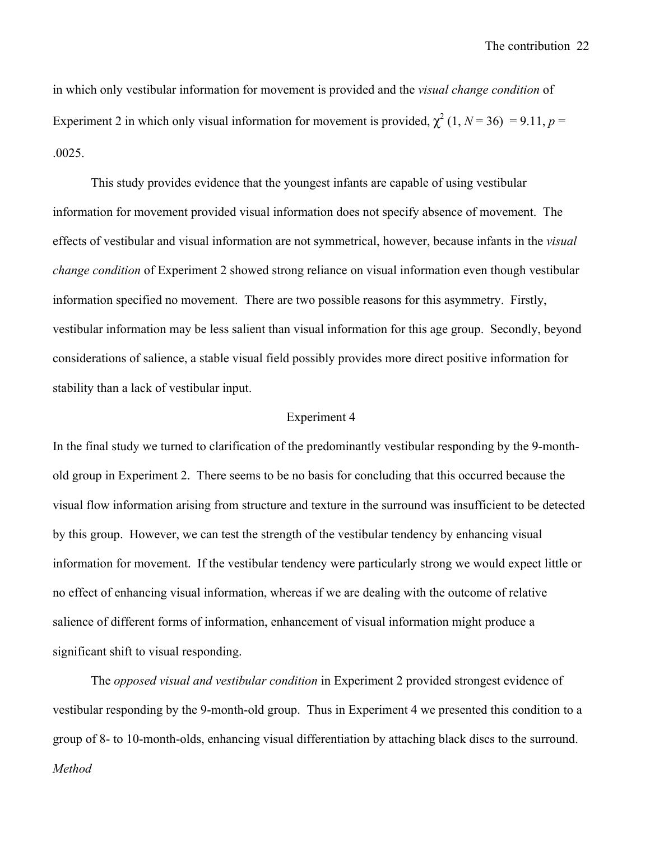The contribution22

in which only vestibular information for movement is provided and the *visual change condition* of Experiment 2 in which only visual information for movement is provided,  $\chi^2$  (1, *N* = 36) = 9.11, *p* = .0025.

This study provides evidence that the youngest infants are capable of using vestibular information for movement provided visual information does not specify absence of movement. The effects of vestibular and visual information are not symmetrical, however, because infants in the *visual change condition* of Experiment 2 showed strong reliance on visual information even though vestibular information specified no movement. There are two possible reasons for this asymmetry. Firstly, vestibular information may be less salient than visual information for this age group. Secondly, beyond considerations of salience, a stable visual field possibly provides more direct positive information for stability than a lack of vestibular input.

## Experiment 4

In the final study we turned to clarification of the predominantly vestibular responding by the 9-monthold group in Experiment 2. There seems to be no basis for concluding that this occurred because the visual flow information arising from structure and texture in the surround was insufficient to be detected by this group. However, we can test the strength of the vestibular tendency by enhancing visual information for movement. If the vestibular tendency were particularly strong we would expect little or no effect of enhancing visual information, whereas if we are dealing with the outcome of relative salience of different forms of information, enhancement of visual information might produce a significant shift to visual responding.

The *opposed visual and vestibular condition* in Experiment 2 provided strongest evidence of vestibular responding by the 9-month-old group. Thus in Experiment 4 we presented this condition to a group of 8- to 10-month-olds, enhancing visual differentiation by attaching black discs to the surround. *Method*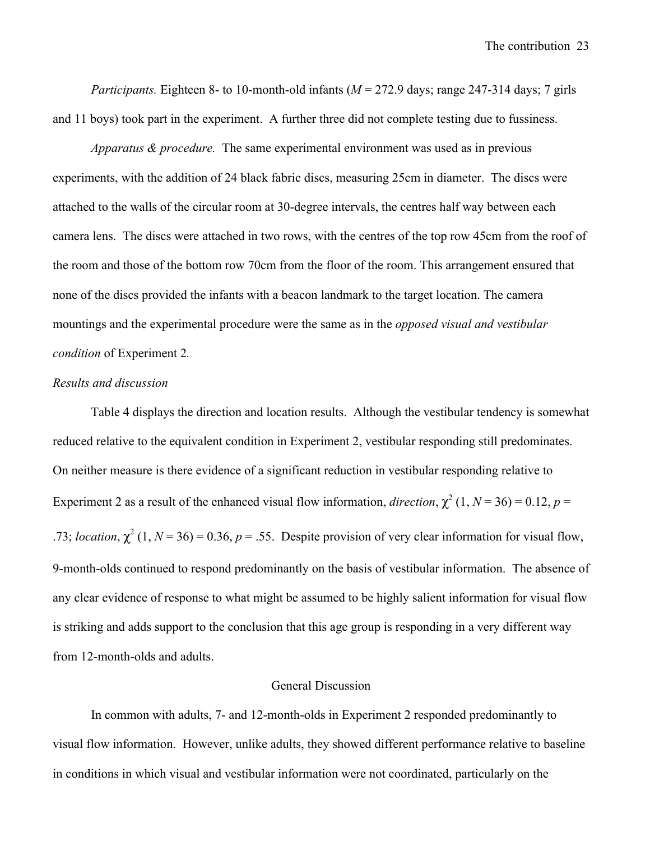*Participants.* Eighteen 8- to 10-month-old infants ( $M = 272.9$  days; range 247-314 days; 7 girls and 11 boys) took part in the experiment. A further three did not complete testing due to fussiness.

*Apparatus & procedure.* The same experimental environment was used as in previous experiments, with the addition of 24 black fabric discs, measuring 25cm in diameter. The discs were attached to the walls of the circular room at 30-degree intervals, the centres half way between each camera lens. The discs were attached in two rows, with the centres of the top row 45cm from the roof of the room and those of the bottom row 70cm from the floor of the room. This arrangement ensured that none of the discs provided the infants with a beacon landmark to the target location. The camera mountings and the experimental procedure were the same as in the *opposed visual and vestibular condition* of Experiment 2*.* 

## *Results and discussion*

Table 4 displays the direction and location results. Although the vestibular tendency is somewhat reduced relative to the equivalent condition in Experiment 2, vestibular responding still predominates. On neither measure is there evidence of a significant reduction in vestibular responding relative to Experiment 2 as a result of the enhanced visual flow information, *direction*,  $\chi^2$  (1, *N* = 36) = 0.12, *p* = .73; *location*,  $\chi^2$  (1, *N* = 36) = 0.36, *p* = .55. Despite provision of very clear information for visual flow, 9-month-olds continued to respond predominantly on the basis of vestibular information. The absence of any clear evidence of response to what might be assumed to be highly salient information for visual flow is striking and adds support to the conclusion that this age group is responding in a very different way from 12-month-olds and adults.

### General Discussion

In common with adults, 7- and 12-month-olds in Experiment 2 responded predominantly to visual flow information. However, unlike adults, they showed different performance relative to baseline in conditions in which visual and vestibular information were not coordinated, particularly on the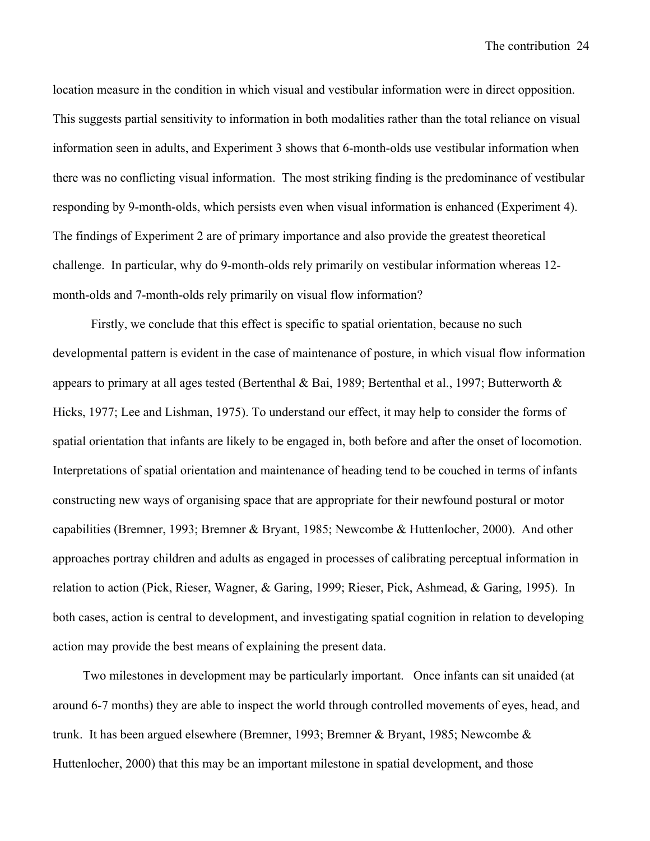location measure in the condition in which visual and vestibular information were in direct opposition. This suggests partial sensitivity to information in both modalities rather than the total reliance on visual information seen in adults, and Experiment 3 shows that 6-month-olds use vestibular information when there was no conflicting visual information. The most striking finding is the predominance of vestibular responding by 9-month-olds, which persists even when visual information is enhanced (Experiment 4). The findings of Experiment 2 are of primary importance and also provide the greatest theoretical challenge. In particular, why do 9-month-olds rely primarily on vestibular information whereas 12 month-olds and 7-month-olds rely primarily on visual flow information?

Firstly, we conclude that this effect is specific to spatial orientation, because no such developmental pattern is evident in the case of maintenance of posture, in which visual flow information appears to primary at all ages tested (Bertenthal & Bai, 1989; Bertenthal et al., 1997; Butterworth & Hicks, 1977; Lee and Lishman, 1975). To understand our effect, it may help to consider the forms of spatial orientation that infants are likely to be engaged in, both before and after the onset of locomotion. Interpretations of spatial orientation and maintenance of heading tend to be couched in terms of infants constructing new ways of organising space that are appropriate for their newfound postural or motor capabilities (Bremner, 1993; Bremner & Bryant, 1985; Newcombe & Huttenlocher, 2000). And other approaches portray children and adults as engaged in processes of calibrating perceptual information in relation to action (Pick, Rieser, Wagner, & Garing, 1999; Rieser, Pick, Ashmead, & Garing, 1995). In both cases, action is central to development, and investigating spatial cognition in relation to developing action may provide the best means of explaining the present data.

Two milestones in development may be particularly important. Once infants can sit unaided (at around 6-7 months) they are able to inspect the world through controlled movements of eyes, head, and trunk. It has been argued elsewhere (Bremner, 1993; Bremner & Bryant, 1985; Newcombe & Huttenlocher, 2000) that this may be an important milestone in spatial development, and those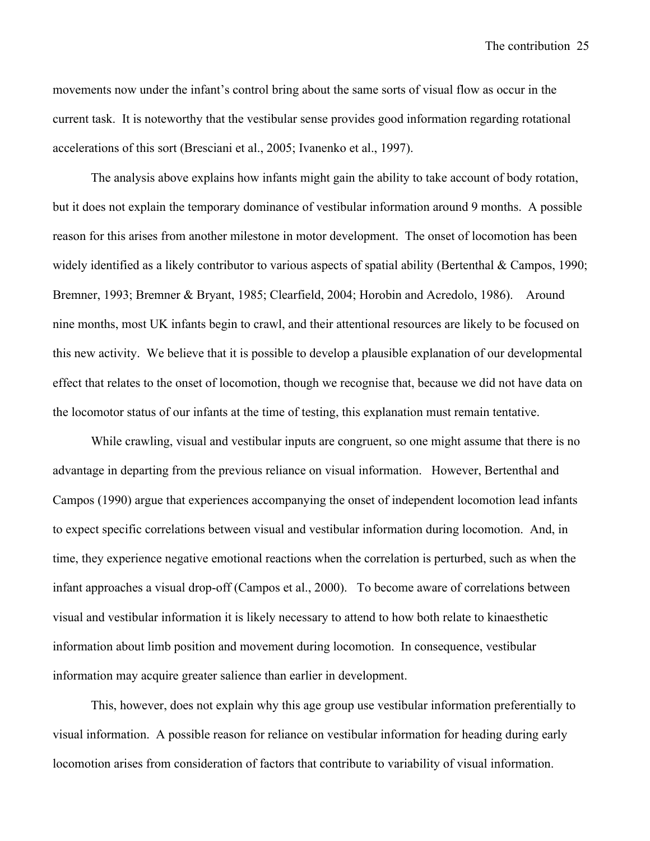The contribution25

movements now under the infant's control bring about the same sorts of visual flow as occur in the current task. It is noteworthy that the vestibular sense provides good information regarding rotational accelerations of this sort (Bresciani et al., 2005; Ivanenko et al., 1997).

The analysis above explains how infants might gain the ability to take account of body rotation, but it does not explain the temporary dominance of vestibular information around 9 months. A possible reason for this arises from another milestone in motor development. The onset of locomotion has been widely identified as a likely contributor to various aspects of spatial ability (Bertenthal & Campos, 1990; Bremner, 1993; Bremner & Bryant, 1985; Clearfield, 2004; Horobin and Acredolo, 1986). Around nine months, most UK infants begin to crawl, and their attentional resources are likely to be focused on this new activity. We believe that it is possible to develop a plausible explanation of our developmental effect that relates to the onset of locomotion, though we recognise that, because we did not have data on the locomotor status of our infants at the time of testing, this explanation must remain tentative.

While crawling, visual and vestibular inputs are congruent, so one might assume that there is no advantage in departing from the previous reliance on visual information. However, Bertenthal and Campos (1990) argue that experiences accompanying the onset of independent locomotion lead infants to expect specific correlations between visual and vestibular information during locomotion. And, in time, they experience negative emotional reactions when the correlation is perturbed, such as when the infant approaches a visual drop-off (Campos et al., 2000). To become aware of correlations between visual and vestibular information it is likely necessary to attend to how both relate to kinaesthetic information about limb position and movement during locomotion. In consequence, vestibular information may acquire greater salience than earlier in development.

This, however, does not explain why this age group use vestibular information preferentially to visual information. A possible reason for reliance on vestibular information for heading during early locomotion arises from consideration of factors that contribute to variability of visual information.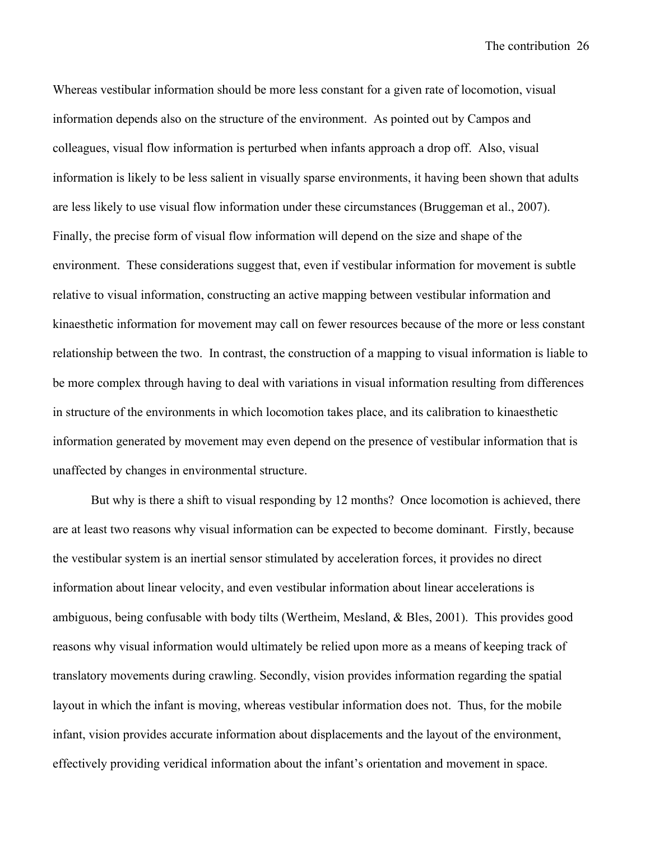Whereas vestibular information should be more less constant for a given rate of locomotion, visual information depends also on the structure of the environment. As pointed out by Campos and colleagues, visual flow information is perturbed when infants approach a drop off. Also, visual information is likely to be less salient in visually sparse environments, it having been shown that adults are less likely to use visual flow information under these circumstances (Bruggeman et al., 2007). Finally, the precise form of visual flow information will depend on the size and shape of the environment. These considerations suggest that, even if vestibular information for movement is subtle relative to visual information, constructing an active mapping between vestibular information and kinaesthetic information for movement may call on fewer resources because of the more or less constant relationship between the two. In contrast, the construction of a mapping to visual information is liable to be more complex through having to deal with variations in visual information resulting from differences in structure of the environments in which locomotion takes place, and its calibration to kinaesthetic information generated by movement may even depend on the presence of vestibular information that is unaffected by changes in environmental structure.

But why is there a shift to visual responding by 12 months? Once locomotion is achieved, there are at least two reasons why visual information can be expected to become dominant. Firstly, because the vestibular system is an inertial sensor stimulated by acceleration forces, it provides no direct information about linear velocity, and even vestibular information about linear accelerations is ambiguous, being confusable with body tilts (Wertheim, Mesland, & Bles, 2001). This provides good reasons why visual information would ultimately be relied upon more as a means of keeping track of translatory movements during crawling. Secondly, vision provides information regarding the spatial layout in which the infant is moving, whereas vestibular information does not. Thus, for the mobile infant, vision provides accurate information about displacements and the layout of the environment, effectively providing veridical information about the infant's orientation and movement in space.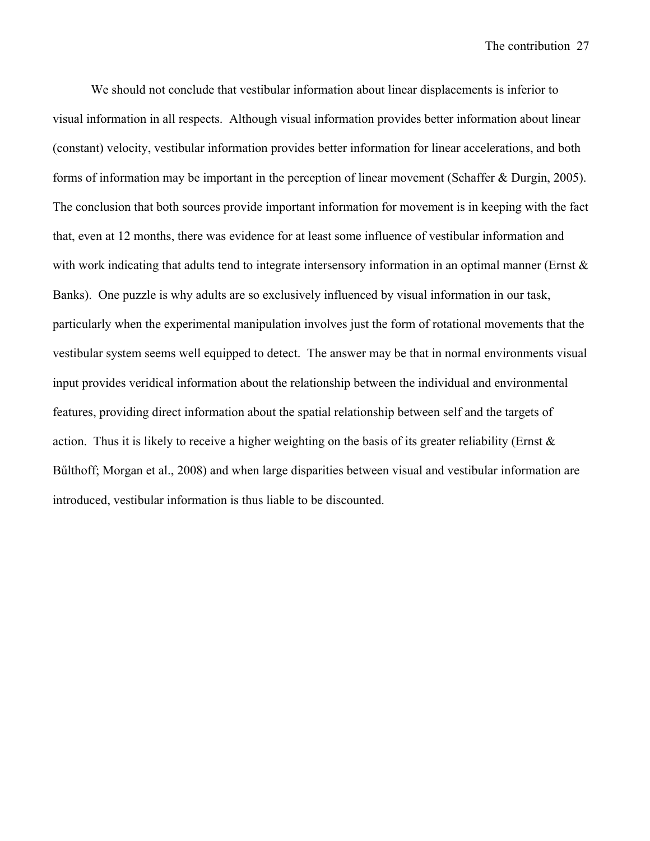We should not conclude that vestibular information about linear displacements is inferior to visual information in all respects. Although visual information provides better information about linear (constant) velocity, vestibular information provides better information for linear accelerations, and both forms of information may be important in the perception of linear movement (Schaffer & Durgin, 2005). The conclusion that both sources provide important information for movement is in keeping with the fact that, even at 12 months, there was evidence for at least some influence of vestibular information and with work indicating that adults tend to integrate intersensory information in an optimal manner (Ernst  $\&$ Banks). One puzzle is why adults are so exclusively influenced by visual information in our task, particularly when the experimental manipulation involves just the form of rotational movements that the vestibular system seems well equipped to detect. The answer may be that in normal environments visual input provides veridical information about the relationship between the individual and environmental features, providing direct information about the spatial relationship between self and the targets of action. Thus it is likely to receive a higher weighting on the basis of its greater reliability (Ernst & Bűlthoff; Morgan et al., 2008) and when large disparities between visual and vestibular information are introduced, vestibular information is thus liable to be discounted.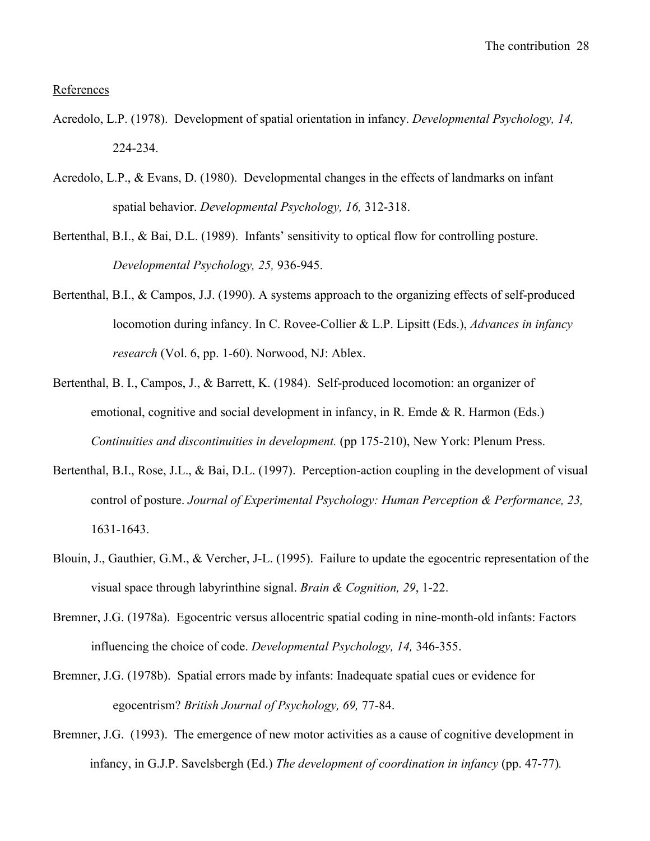#### **References**

- Acredolo, L.P. (1978). Development of spatial orientation in infancy. *Developmental Psychology, 14,*  224-234.
- Acredolo, L.P., & Evans, D. (1980). Developmental changes in the effects of landmarks on infant spatial behavior. *Developmental Psychology, 16,* 312-318.
- Bertenthal, B.I., & Bai, D.L. (1989). Infants' sensitivity to optical flow for controlling posture. *Developmental Psychology, 25,* 936-945.
- Bertenthal, B.I., & Campos, J.J. (1990). A systems approach to the organizing effects of self-produced locomotion during infancy. In C. Rovee-Collier & L.P. Lipsitt (Eds.), *Advances in infancy research* (Vol. 6, pp. 1-60). Norwood, NJ: Ablex.
- Bertenthal, B. I., Campos, J., & Barrett, K. (1984). Self-produced locomotion: an organizer of emotional, cognitive and social development in infancy, in R. Emde & R. Harmon (Eds.) *Continuities and discontinuities in development.* (pp 175-210), New York: Plenum Press.
- Bertenthal, B.I., Rose, J.L., & Bai, D.L. (1997). Perception-action coupling in the development of visual control of posture. *Journal of Experimental Psychology: Human Perception & Performance, 23,*  1631-1643.
- Blouin, J., Gauthier, G.M., & Vercher, J-L. (1995). Failure to update the egocentric representation of the visual space through labyrinthine signal. *Brain & Cognition, 29*, 1-22.
- Bremner, J.G. (1978a). Egocentric versus allocentric spatial coding in nine-month-old infants: Factors influencing the choice of code. *Developmental Psychology, 14,* 346-355.
- Bremner, J.G. (1978b). Spatial errors made by infants: Inadequate spatial cues or evidence for egocentrism? *British Journal of Psychology, 69,* 77-84.
- Bremner, J.G. (1993). The emergence of new motor activities as a cause of cognitive development in infancy, in G.J.P. Savelsbergh (Ed.) *The development of coordination in infancy* (pp. 47-77)*.*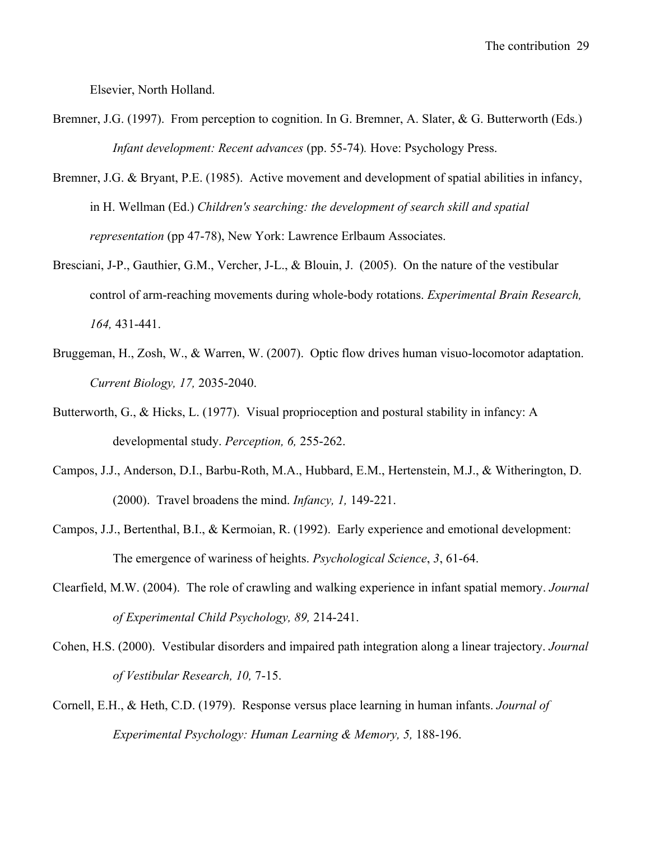Elsevier, North Holland.

- Bremner, J.G. (1997). From perception to cognition. In G. Bremner, A. Slater, & G. Butterworth (Eds.) *Infant development: Recent advances (pp. 55-74). Hove: Psychology Press.*
- Bremner, J.G. & Bryant, P.E. (1985). Active movement and development of spatial abilities in infancy, in H. Wellman (Ed.) *Children's searching: the development of search skill and spatial representation* (pp 47-78), New York: Lawrence Erlbaum Associates.
- Bresciani, J-P., Gauthier, G.M., Vercher, J-L., & Blouin, J. (2005). On the nature of the vestibular control of arm-reaching movements during whole-body rotations. *Experimental Brain Research, 164,* 431-441.
- Bruggeman, H., Zosh, W., & Warren, W. (2007). Optic flow drives human visuo-locomotor adaptation. *Current Biology, 17,* 2035-2040.
- Butterworth, G., & Hicks, L. (1977). Visual proprioception and postural stability in infancy: A developmental study. *Perception, 6,* 255-262.
- Campos, J.J., Anderson, D.I., Barbu-Roth, M.A., Hubbard, E.M., Hertenstein, M.J., & Witherington, D. (2000). Travel broadens the mind. *Infancy, 1,* 149-221.
- Campos, J.J., Bertenthal, B.I., & Kermoian, R. (1992). Early experience and emotional development: The emergence of wariness of heights. *Psychological Science*, *3*, 61-64.
- Clearfield, M.W. (2004). The role of crawling and walking experience in infant spatial memory. *Journal of Experimental Child Psychology, 89,* 214-241.
- Cohen, H.S. (2000). Vestibular disorders and impaired path integration along a linear trajectory. *Journal of Vestibular Research, 10,* 7-15.
- Cornell, E.H., & Heth, C.D. (1979). Response versus place learning in human infants. *Journal of Experimental Psychology: Human Learning & Memory, 5, 188-196.*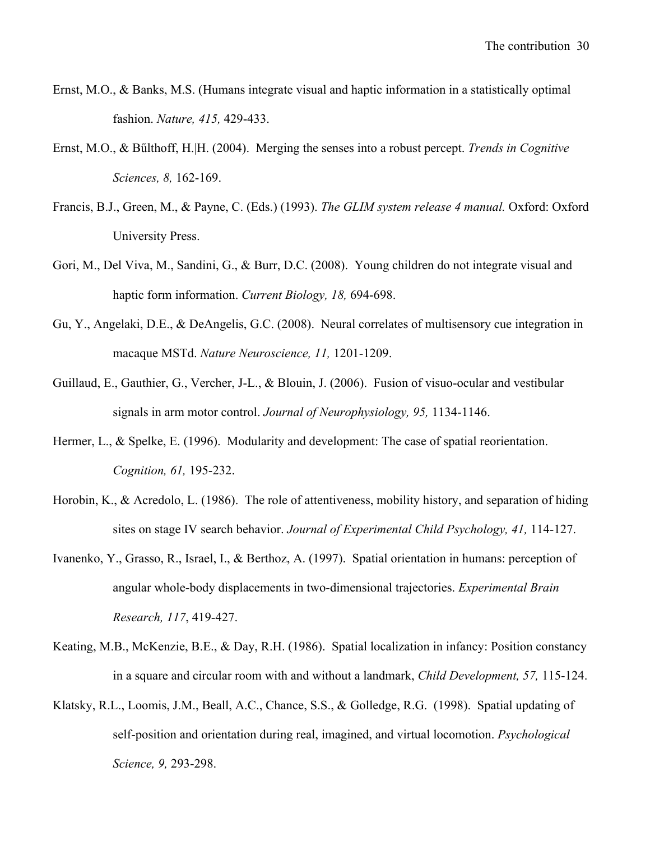- Ernst, M.O., & Banks, M.S. (Humans integrate visual and haptic information in a statistically optimal fashion. *Nature, 415,* 429-433.
- Ernst, M.O., & Bűlthoff, H.|H. (2004). Merging the senses into a robust percept. *Trends in Cognitive Sciences, 8,* 162-169.
- Francis, B.J., Green, M., & Payne, C. (Eds.) (1993). *The GLIM system release 4 manual.* Oxford: Oxford University Press.
- Gori, M., Del Viva, M., Sandini, G., & Burr, D.C. (2008). Young children do not integrate visual and haptic form information. *Current Biology, 18,* 694-698.
- Gu, Y., Angelaki, D.E., & DeAngelis, G.C. (2008). Neural correlates of multisensory cue integration in macaque MSTd. *Nature Neuroscience, 11,* 1201-1209.
- Guillaud, E., Gauthier, G., Vercher, J-L., & Blouin, J. (2006). Fusion of visuo-ocular and vestibular signals in arm motor control. *Journal of Neurophysiology, 95,* 1134-1146.
- Hermer, L., & Spelke, E. (1996). Modularity and development: The case of spatial reorientation. *Cognition, 61,* 195-232.
- Horobin, K., & Acredolo, L. (1986). The role of attentiveness, mobility history, and separation of hiding sites on stage IV search behavior. *Journal of Experimental Child Psychology, 41,* 114-127.
- Ivanenko, Y., Grasso, R., Israel, I., & Berthoz, A. (1997). Spatial orientation in humans: perception of angular whole-body displacements in two-dimensional trajectories. *Experimental Brain Research, 117*, 419-427.
- Keating, M.B., McKenzie, B.E., & Day, R.H. (1986). Spatial localization in infancy: Position constancy in a square and circular room with and without a landmark, *Child Development, 57,* 115-124.
- Klatsky, R.L., Loomis, J.M., Beall, A.C., Chance, S.S., & Golledge, R.G. (1998). Spatial updating of self-position and orientation during real, imagined, and virtual locomotion. *Psychological Science, 9,* 293-298.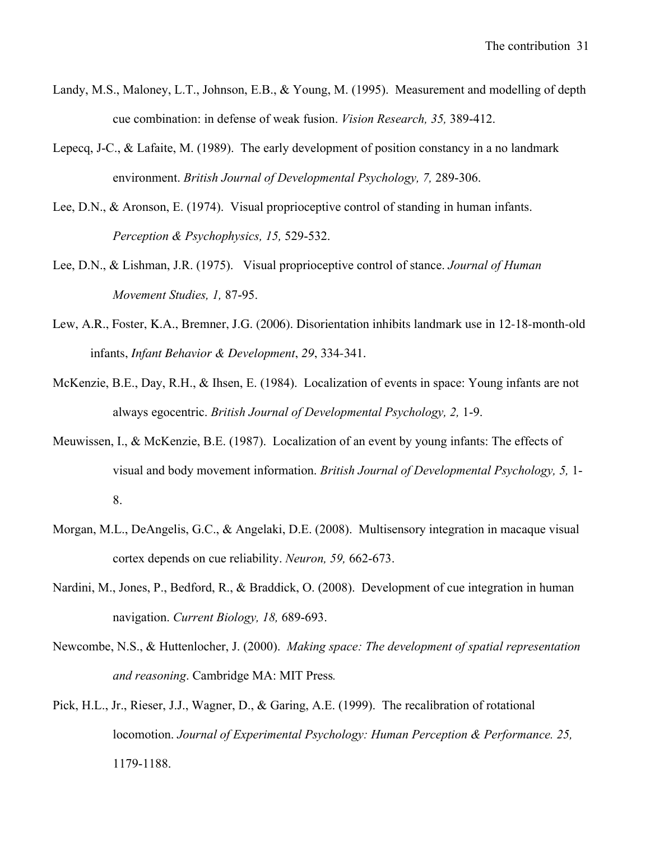- Landy, M.S., Maloney, L.T., Johnson, E.B., & Young, M. (1995). Measurement and modelling of depth cue combination: in defense of weak fusion. *Vision Research, 35,* 389-412.
- Lepecq, J-C., & Lafaite, M. (1989). The early development of position constancy in a no landmark environment. *British Journal of Developmental Psychology, 7,* 289-306.
- Lee, D.N., & Aronson, E. (1974). Visual proprioceptive control of standing in human infants. *Perception & Psychophysics, 15,* 529-532.
- Lee, D.N., & Lishman, J.R. (1975). Visual proprioceptive control of stance. *Journal of Human Movement Studies, 1,* 87-95.
- Lew, A.R., Foster, K.A., Bremner, J.G. (2006). Disorientation inhibits landmark use in 12-18-month-old infants, *Infant Behavior & Development*, *29*, 334-341.
- McKenzie, B.E., Day, R.H., & Ihsen, E. (1984). Localization of events in space: Young infants are not always egocentric. *British Journal of Developmental Psychology, 2,* 1-9.
- Meuwissen, I., & McKenzie, B.E. (1987). Localization of an event by young infants: The effects of visual and body movement information. *British Journal of Developmental Psychology, 5,* 1- 8.
- Morgan, M.L., DeAngelis, G.C., & Angelaki, D.E. (2008). Multisensory integration in macaque visual cortex depends on cue reliability. *Neuron, 59,* 662-673.
- Nardini, M., Jones, P., Bedford, R., & Braddick, O. (2008). Development of cue integration in human navigation. *Current Biology, 18,* 689-693.
- Newcombe, N.S., & Huttenlocher, J. (2000). *Making space: The development of spatial representation and reasoning*. Cambridge MA: MIT Press*.*
- Pick, H.L., Jr., Rieser, J.J., Wagner, D., & Garing, A.E. (1999). The recalibration of rotational locomotion. *Journal of Experimental Psychology: Human Perception & Performance. 25,*  1179-1188.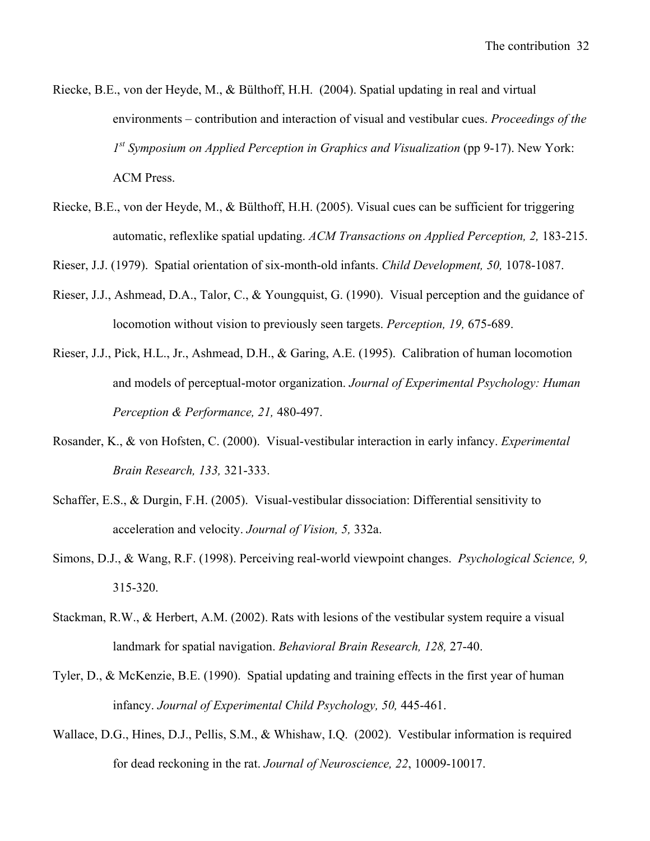- Riecke, B.E., von der Heyde, M., & Bülthoff, H.H. (2004). Spatial updating in real and virtual environments – contribution and interaction of visual and vestibular cues. *Proceedings of the 1st Symposium on Applied Perception in Graphics and Visualization* (pp 9-17). New York: ACM Press.
- Riecke, B.E., von der Heyde, M., & Bülthoff, H.H. (2005). Visual cues can be sufficient for triggering automatic, reflexlike spatial updating. *ACM Transactions on Applied Perception, 2,* 183-215.

Rieser, J.J. (1979). Spatial orientation of six-month-old infants. *Child Development, 50,* 1078-1087.

- Rieser, J.J., Ashmead, D.A., Talor, C., & Youngquist, G. (1990). Visual perception and the guidance of locomotion without vision to previously seen targets. *Perception, 19,* 675-689.
- Rieser, J.J., Pick, H.L., Jr., Ashmead, D.H., & Garing, A.E. (1995). Calibration of human locomotion and models of perceptual-motor organization. *Journal of Experimental Psychology: Human Perception & Performance, 21,* 480-497.
- Rosander, K., & von Hofsten, C. (2000). Visual-vestibular interaction in early infancy. *Experimental Brain Research, 133,* 321-333.
- Schaffer, E.S., & Durgin, F.H. (2005). Visual-vestibular dissociation: Differential sensitivity to acceleration and velocity. *Journal of Vision, 5,* 332a.
- Simons, D.J., & Wang, R.F. (1998). Perceiving real-world viewpoint changes. *Psychological Science, 9,*  315-320.
- Stackman, R.W., & Herbert, A.M. (2002). Rats with lesions of the vestibular system require a visual landmark for spatial navigation. *Behavioral Brain Research, 128,* 27-40.
- Tyler, D., & McKenzie, B.E. (1990). Spatial updating and training effects in the first year of human infancy. *Journal of Experimental Child Psychology, 50,* 445-461.
- Wallace, D.G., Hines, D.J., Pellis, S.M., & Whishaw, I.Q. (2002). Vestibular information is required for dead reckoning in the rat. *Journal of Neuroscience, 22*, 10009-10017.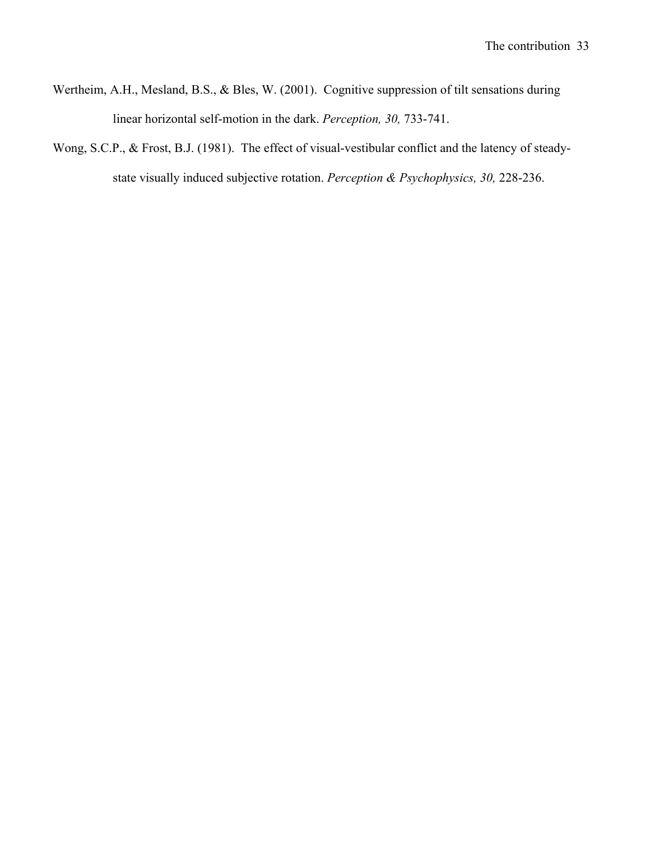- Wertheim, A.H., Mesland, B.S., & Bles, W. (2001). Cognitive suppression of tilt sensations during linear horizontal self-motion in the dark. *Perception, 30,* 733-741.
- Wong, S.C.P., & Frost, B.J. (1981). The effect of visual-vestibular conflict and the latency of steadystate visually induced subjective rotation. *Perception & Psychophysics, 30,* 228-236.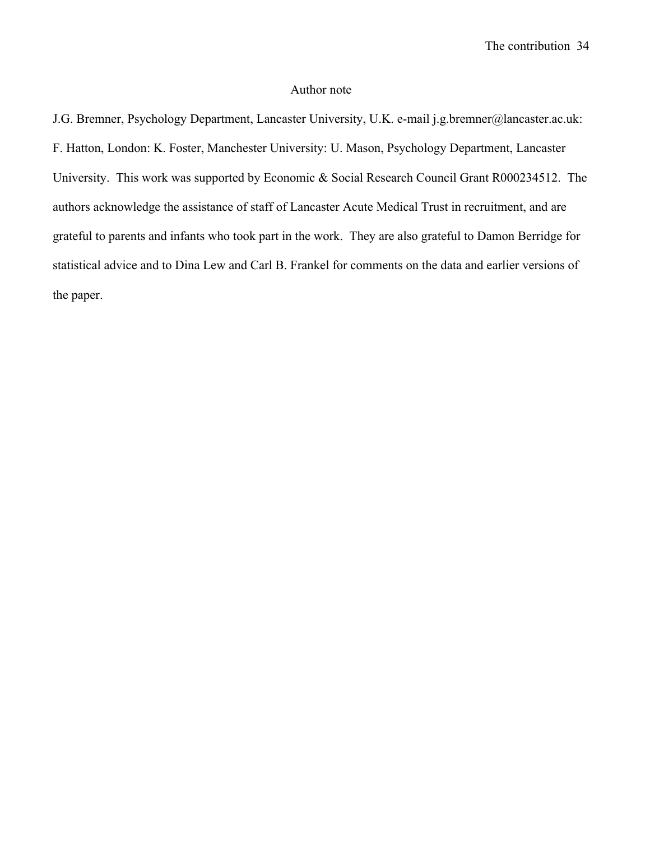## Author note

J.G. Bremner, Psychology Department, Lancaster University, U.K. e-mail j.g.bremner@lancaster.ac.uk: F. Hatton, London: K. Foster, Manchester University: U. Mason, Psychology Department, Lancaster University. This work was supported by Economic & Social Research Council Grant R000234512. The authors acknowledge the assistance of staff of Lancaster Acute Medical Trust in recruitment, and are grateful to parents and infants who took part in the work. They are also grateful to Damon Berridge for statistical advice and to Dina Lew and Carl B. Frankel for comments on the data and earlier versions of the paper.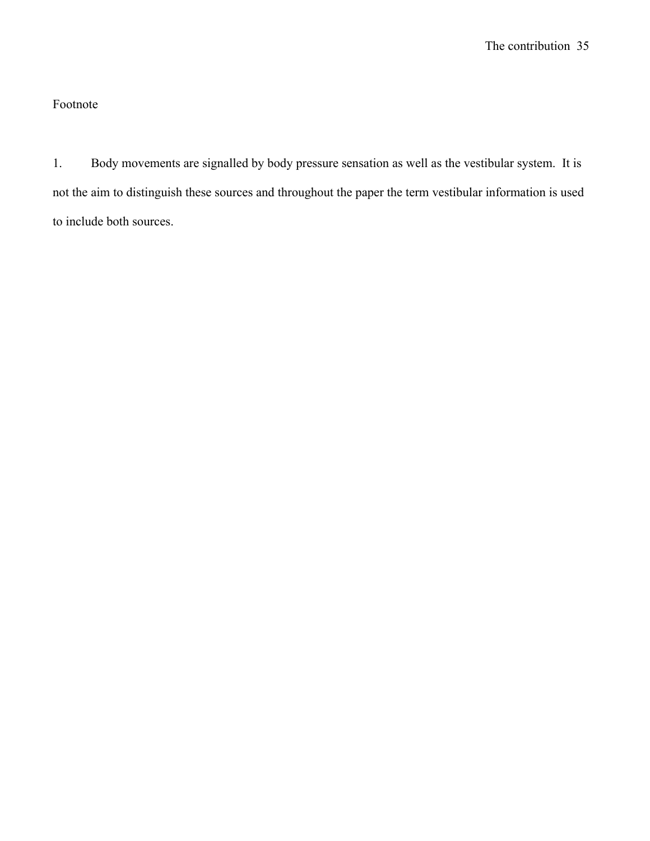## Footnote

1. Body movements are signalled by body pressure sensation as well as the vestibular system. It is not the aim to distinguish these sources and throughout the paper the term vestibular information is used to include both sources.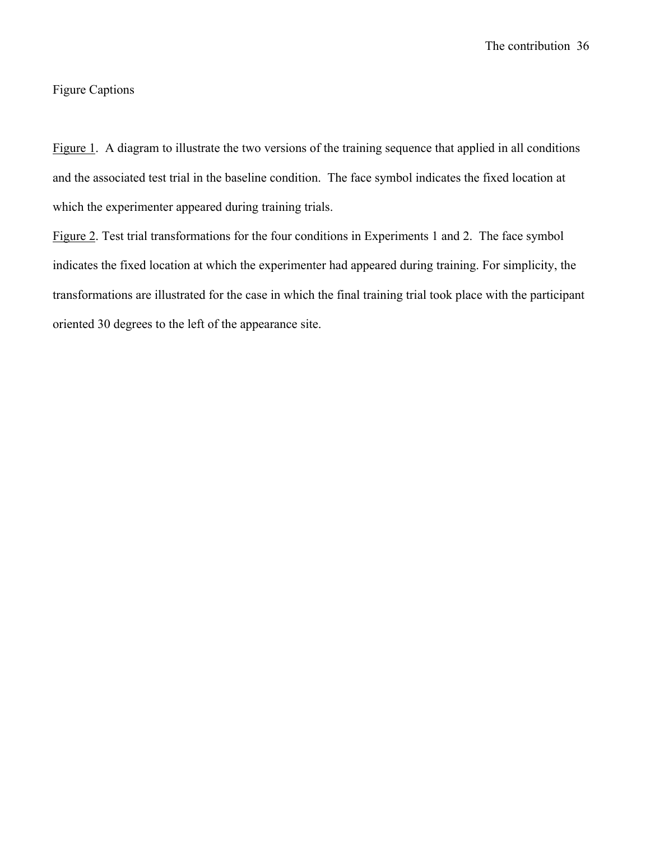The contribution36

## Figure Captions

Figure 1. A diagram to illustrate the two versions of the training sequence that applied in all conditions and the associated test trial in the baseline condition. The face symbol indicates the fixed location at which the experimenter appeared during training trials.

Figure 2. Test trial transformations for the four conditions in Experiments 1 and 2. The face symbol indicates the fixed location at which the experimenter had appeared during training. For simplicity, the transformations are illustrated for the case in which the final training trial took place with the participant oriented 30 degrees to the left of the appearance site.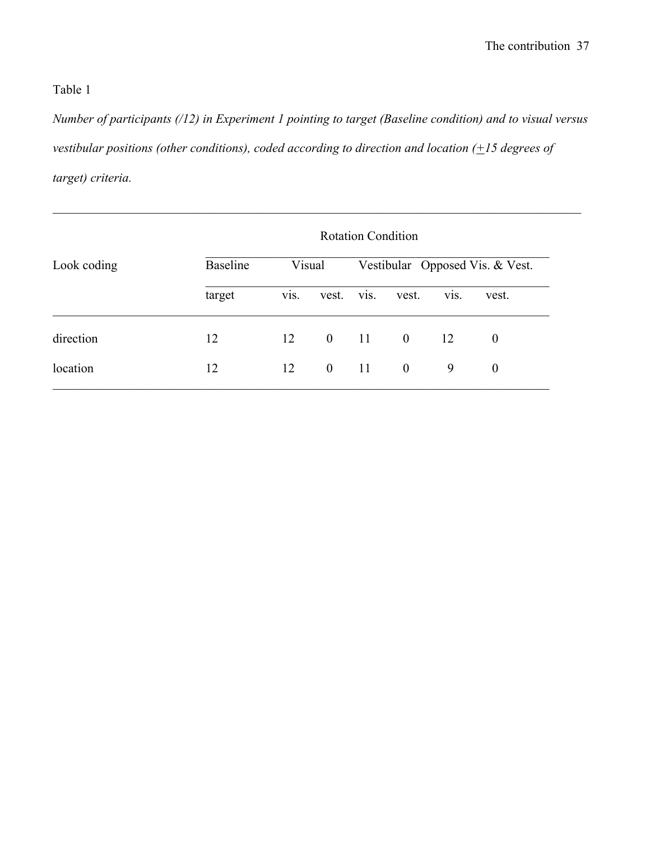*Number of participants (/12) in Experiment 1 pointing to target (Baseline condition) and to visual versus vestibular positions (other conditions), coded according to direction and location (+15 degrees of target) criteria.*

|             | <b>Rotation Condition</b> |                   |                  |               |                |                   |                                 |
|-------------|---------------------------|-------------------|------------------|---------------|----------------|-------------------|---------------------------------|
| Look coding | <b>Baseline</b>           | Visual            |                  |               |                |                   | Vestibular Opposed Vis. & Vest. |
|             | target                    | V <sub>1</sub> S. | vest.            | vis.          | vest.          | V <sub>1</sub> S. | vest.                           |
| direction   | 12                        | 12                | $\overline{0}$   | <sup>11</sup> | $\overline{0}$ | 12                | $\boldsymbol{0}$                |
| location    | 12                        | 12                | $\boldsymbol{0}$ | <sup>11</sup> | $\mathbf{0}$   | 9                 | $\boldsymbol{0}$                |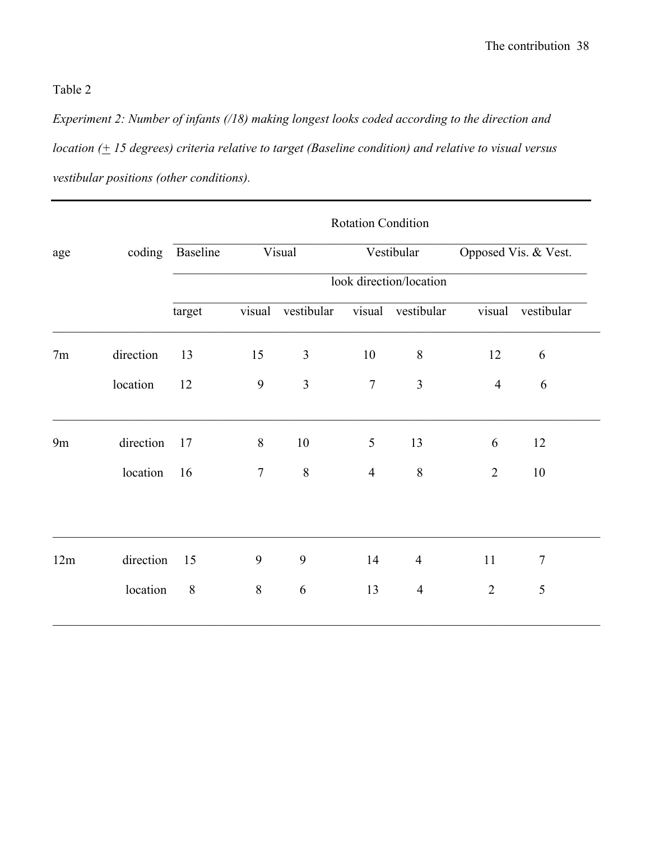*Experiment 2: Number of infants (/18) making longest looks coded according to the direction and location (+ 15 degrees) criteria relative to target (Baseline condition) and relative to visual versus vestibular positions (other conditions).*

|     |           | <b>Rotation Condition</b> |                |                   |                |                         |                      |                |  |
|-----|-----------|---------------------------|----------------|-------------------|----------------|-------------------------|----------------------|----------------|--|
| age |           | coding Baseline<br>Visual |                |                   | Vestibular     |                         | Opposed Vis. & Vest. |                |  |
|     |           |                           |                |                   |                | look direction/location |                      |                |  |
|     |           | target                    |                | visual vestibular |                | visual vestibular       | visual               | vestibular     |  |
| 7m  | direction | 13                        | 15             | $\mathfrak{Z}$    | 10             | $8\,$                   | 12                   | 6              |  |
|     | location  | 12                        | 9              | $\mathfrak{Z}$    | $\overline{7}$ | 3                       | $\overline{4}$       | 6              |  |
| 9m  | direction | 17                        | 8              | 10                | 5              | 13                      | 6                    | 12             |  |
|     | location  | 16                        | $\overline{7}$ | $8\,$             | $\overline{4}$ | $8\,$                   | $\overline{2}$       | 10             |  |
|     |           |                           |                |                   |                |                         |                      |                |  |
| 12m | direction | 15                        | 9              | 9                 | 14             | $\overline{4}$          | 11                   | $\overline{7}$ |  |
|     | location  | 8                         | $\, 8$         | 6                 | 13             | $\overline{4}$          | $\overline{2}$       | 5              |  |
|     |           |                           |                |                   |                |                         |                      |                |  |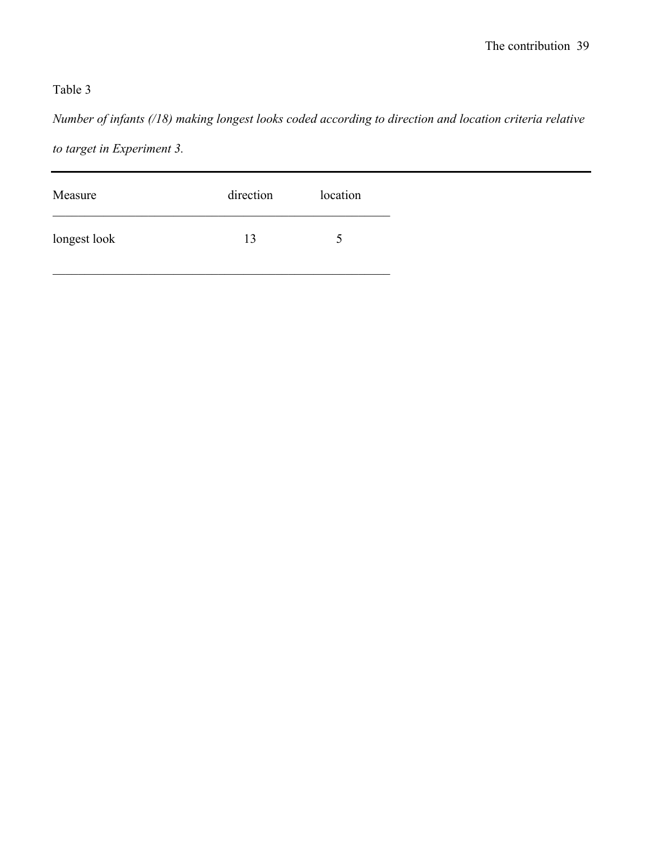*Number of infants (/18) making longest looks coded according to direction and location criteria relative to target in Experiment 3.*

| Measure      | direction | location      |
|--------------|-----------|---------------|
| longest look | 13        | $\mathcal{D}$ |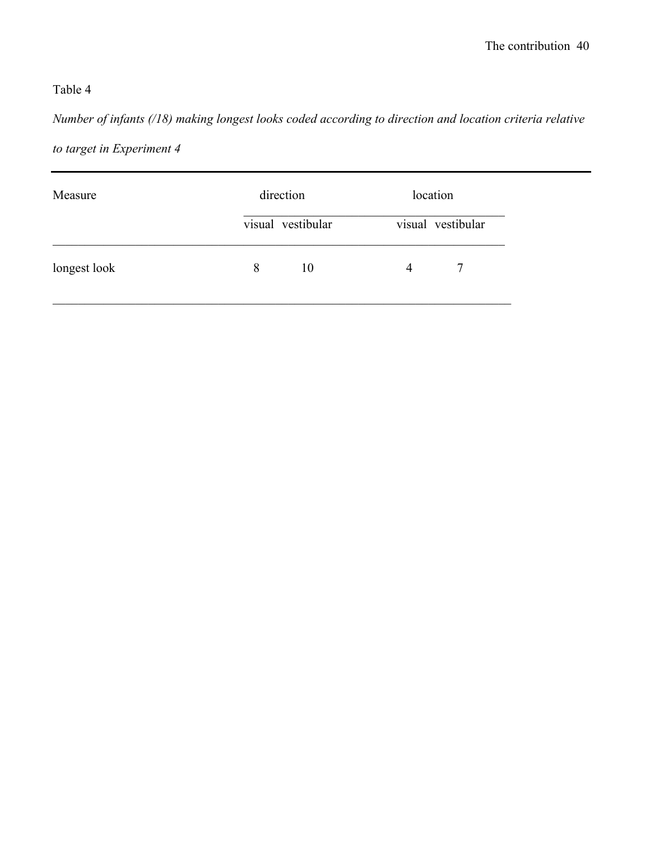*Number of infants (/18) making longest looks coded according to direction and location criteria relative to target in Experiment 4*

| visual vestibular<br>visual vestibular<br>longest look<br>10<br>8<br>7<br>$\overline{4}$ | Measure | direction | location |  |  |
|------------------------------------------------------------------------------------------|---------|-----------|----------|--|--|
|                                                                                          |         |           |          |  |  |
|                                                                                          |         |           |          |  |  |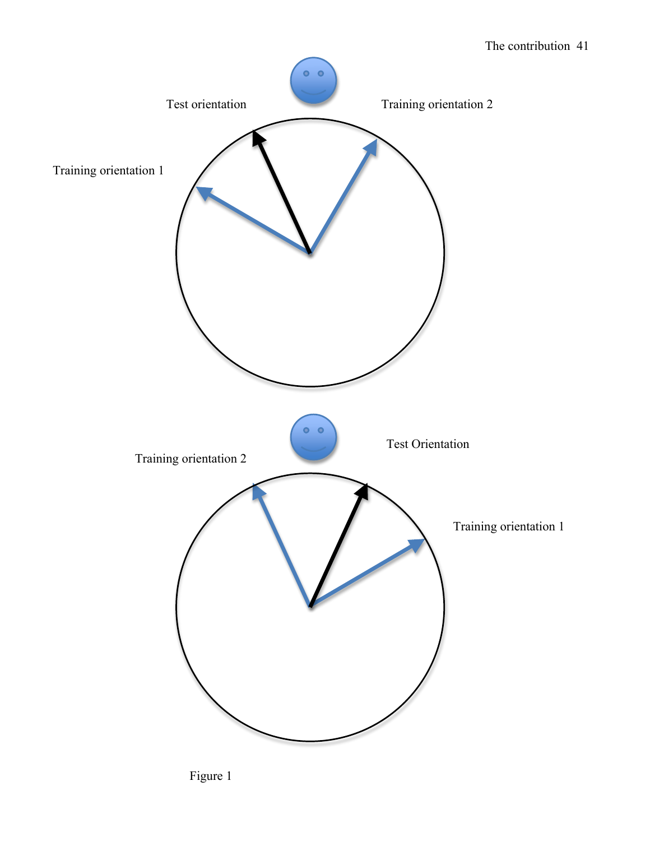## The contribution41



Figure 1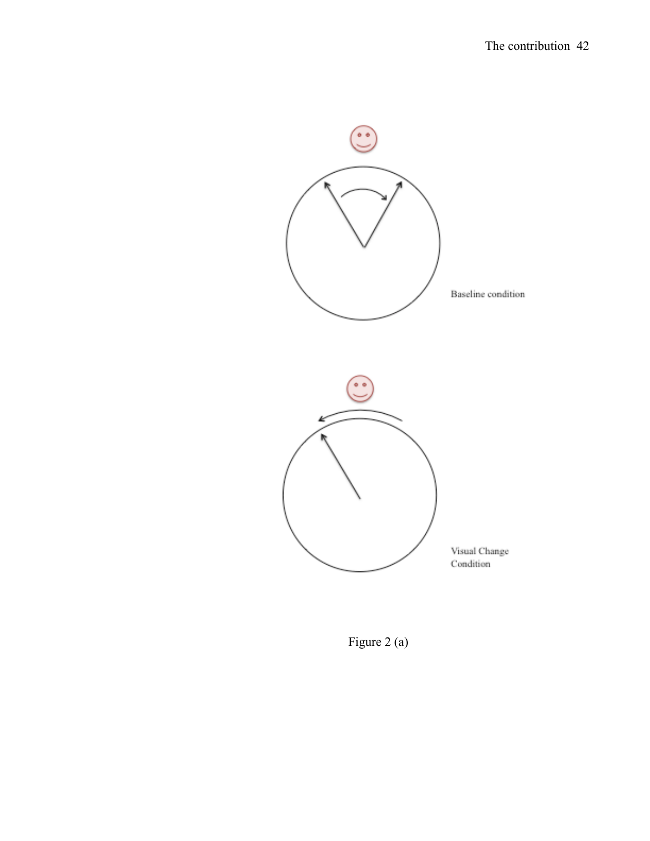

Figure 2 (a)